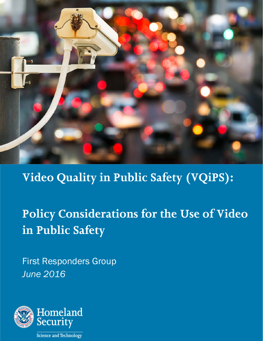

# **Video Quality in Public Safety (VQiPS):**

**Policy Considerations for the Use of Video in Public Safety**

First Responders Group *June 2016*

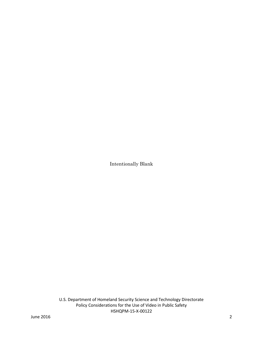Intentionally Blank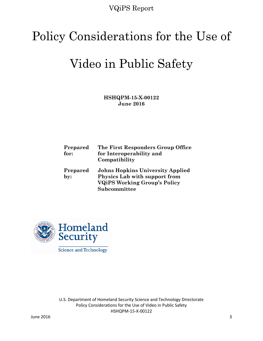VQiPS Report

# Policy Considerations for the Use of

# Video in Public Safety

**HSHQPM-15-X-00122 June 2016**

| Prepared<br>for:            | The First Responders Group Office<br>for Interoperability and<br>Compatibility                                                  |
|-----------------------------|---------------------------------------------------------------------------------------------------------------------------------|
| Prepared<br>$\mathbf{b}$ y: | <b>Johns Hopkins University Applied</b><br>Physics Lab with support from<br><b>VQiPS Working Group's Policy</b><br>Subcommittee |

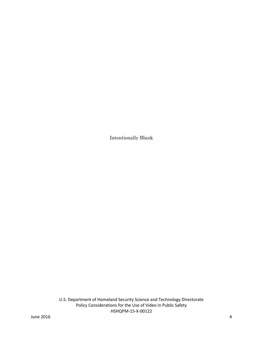Intentionally Blank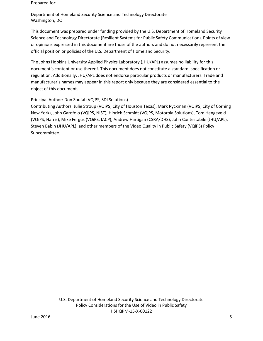Prepared for:

Department of Homeland Security Science and Technology Directorate Washington, DC

This document was prepared under funding provided by the U.S. Department of Homeland Security Science and Technology Directorate (Resilient Systems for Public Safety Communication). Points of view or opinions expressed in this document are those of the authors and do not necessarily represent the official position or policies of the U.S. Department of Homeland Security.

The Johns Hopkins University Applied Physics Laboratory (JHU/APL) assumes no liability for this document's content or use thereof. This document does not constitute a standard, specification or regulation. Additionally, JHU/APL does not endorse particular products or manufacturers. Trade and manufacturer's names may appear in this report only because they are considered essential to the object of this document.

Principal Author: Don Zoufal (VQiPS, SDI Solutions)

Contributing Authors: Julie Stroup (VQiPS, City of Houston Texas), Mark Ryckman (VQiPS, City of Corning New York), John Garofolo (VQiPS, NIST), Hinrich Schmidt (VQiPS, Motorola Solutions), Tom Hengeveld (VQiPS, Harris), Mike Fergus (VQiPS, IACP), Andrew Hartigan (CSRA/DHS), John Contestabile (JHU/APL), Steven Babin (JHU/APL), and other members of the Video Quality in Public Safety (VQiPS) Policy Subcommittee.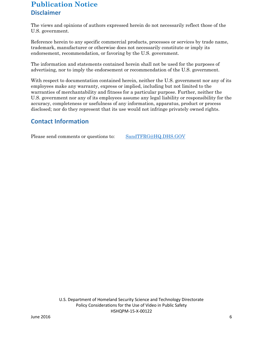## **Publication Notice Disclaimer**

The views and opinions of authors expressed herein do not necessarily reflect those of the U.S. government.

Reference herein to any specific commercial products, processes or services by trade name, trademark, manufacturer or otherwise does not necessarily constitute or imply its endorsement, recommendation, or favoring by the U.S. government.

The information and statements contained herein shall not be used for the purposes of advertising, nor to imply the endorsement or recommendation of the U.S. government.

With respect to documentation contained herein, neither the U.S. government nor any of its employees make any warranty, express or implied, including but not limited to the warranties of merchantability and fitness for a particular purpose. Further, neither the U.S. government nor any of its employees assume any legal liability or responsibility for the accuracy, completeness or usefulness of any information, apparatus, product or process disclosed; nor do they represent that its use would not infringe privately owned rights.

## **Contact Information**

Please send comments or questions to: [SandTFRG@HQ.DHS.GOV](mailto:SandTFRG@HQ.DHS.GOV)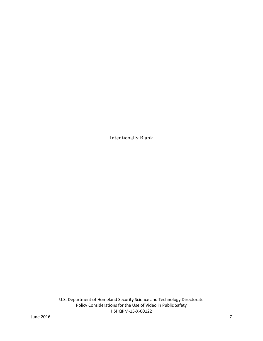Intentionally Blank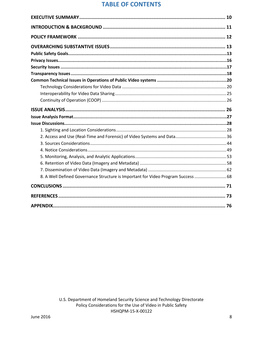## **TABLE OF CONTENTS**

| 8. A Well Defined Governance Structure is Important for Video Program Success  68 |
|-----------------------------------------------------------------------------------|
|                                                                                   |
|                                                                                   |
|                                                                                   |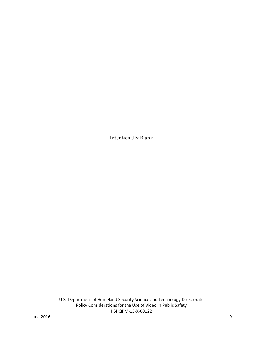Intentionally Blank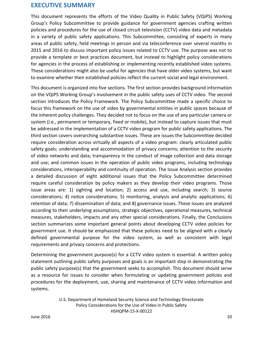## **EXECUTIVE SUMMARY**

This document represents the efforts of the Video Quality in Public Safety (VQiPS) Working Group's Policy Subcommittee to provide guidance for government agencies crafting written policies and procedures for the use of closed circuit television (CCTV) video data and metadata in a variety of public safety applications. This Subcommittee, consisting of experts in many areas of public safety, held meetings in person and via teleconference over several months in 2015 and 2016 to discuss important policy issues related to CCTV use. The purpose was not to provide a template or best practices document, but instead to highlight policy considerations for agencies in the process of establishing or implementing recently established video systems. These considerations might also be useful for agencies that have older video systems, but want to examine whether their established policies reflect the current social and legal environment.

This document is organized into five sections. The first section provides background information on the VQiPS Working Group's involvement in the public safety uses of CCTV video. The second section introduces the Policy Framework. The Policy Subcommittee made a specific choice to focus this framework on the use of video by governmental entities in public spaces because of the inherent policy challenges. They decided not to focus on the use of any particular camera or system (i.e., permanent or temporary, fixed or mobile), but instead to capture issues that must be addressed in the implementation of a CCTV video program for public safety applications. The third section covers overarching substantive issues. These are issues the Subcommittee decided require consideration across virtually all aspects of a video program: clearly articulated public safety goals; understanding and accommodation of privacy concerns; attention to the security of video networks and data; transparency in the conduct of image collection and data storage and use; and common issues in the operation of public video programs, including technology considerations, interoperability and continuity of operation. The Issue Analysis section provides a detailed discussion of eight additional issues that the Policy Subcommittee determined require careful consideration by policy makers as they develop their video programs. Those issue areas are: 1) sighting and location; 2) access and use, including search; 3) source considerations; 4) notice considerations; 5) monitoring, analysis and analytic applications; 6) retention of data; 7) dissemination of data; and 8) governance issues. These issues are analyzed according to their underlying assumptions, strategic objectives, operational measures, technical measures, stakeholders, impacts and any other special considerations. Finally, the Conclusions section summarizes some important general points about developing CCTV video policies for government use. It should be emphasized that these policies need to be aligned with a clearly defined governmental purpose for the video system, as well as consistent with legal requirements and privacy concerns and protections.

Determining the government purpose(s) for a CCTV video system is essential. A written policy statement outlining public safety purposes and goals is an important step in demonstrating the public safety purpose(s) that the government seeks to accomplish. This document should serve as a resource for issues to consider when formulating or updating government policies and procedures for the deployment, use, sharing and maintenance of CCTV video information and systems.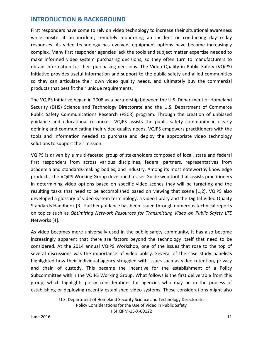## **INTRODUCTION & BACKGROUND**

First responders have come to rely on video technology to increase their situational awareness while onsite at an incident, remotely monitoring an incident or conducting day-to-day responses. As video technology has evolved, equipment options have become increasingly complex. Many first responder agencies lack the tools and subject matter expertise needed to make informed video system purchasing decisions, so they often turn to manufacturers to obtain information for their purchasing decisions. The Video Quality in Public Safety (VQiPS) Initiative provides useful information and support to the public safety and allied communities so they can articulate their own video quality needs, and ultimately buy the commercial products that best fit their unique requirements.

The VQiPS Initiative began in 2008 as a partnership between the U.S. Department of Homeland Security (DHS) Science and Technology Directorate and the U.S. Department of Commerce Public Safety Communications Research (PSCR) program. Through the creation of unbiased guidance and educational resources, VQiPS assists the public safety community in clearly defining and communicating their video quality needs. VQiPS empowers practitioners with the tools and information needed to purchase and deploy the appropriate video technology solutions to support their mission.

VQiPS is driven by a multi-faceted group of stakeholders composed of local, state and federal first responders from across various disciplines, federal partners, representatives from academia and standards-making bodies, and industry. Among its most noteworthy knowledge products, the VQiPS Working Group developed a User Guide web tool that assists practitioners in determining video options based on specific video scenes they will be targeting and the resulting tasks that need to be accomplished based on viewing that scene [1,2]. VQiPS also developed a glossary of video system terminology, a video library and the Digital Video Quality Standards Handbook [3]. Further guidance has been issued through numerous technical reports on topics such as *Optimizing Network Resources for Transmitting Video on Public Safety LTE*  Networks [4].

As video becomes more universally used in the public safety community, it has also become increasingly apparent that there are factors beyond the technology itself that need to be considered. At the 2014 annual VQiPS Workshop, one of the issues that rose to the top of several discussions was the importance of video policy. Several of the case study panelists highlighted how their individual agency struggled with issues such as video retention, privacy and chain of custody. This became the incentive for the establishment of a Policy Subcommittee within the VQiPS Working Group. What follows is the first deliverable from this group, which highlights policy considerations for agencies who may be in the process of establishing or deploying recently established video systems. These considerations might also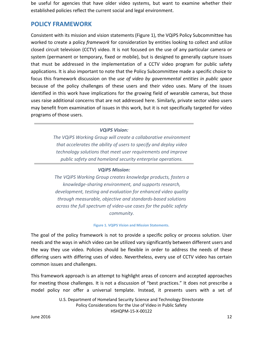be useful for agencies that have older video systems, but want to examine whether their established policies reflect the current social and legal environment.

### **POLICY FRAMEWORK**

Consistent with its mission and vision statements (Figure 1), the VQiPS Policy Subcommittee has worked to create a policy *framework* for consideration by entities looking to collect and utilize closed circuit television (CCTV) video. It is not focused on the use of any particular camera or system (permanent or temporary, fixed or mobile), but is designed to generally capture issues that must be addressed in the implementation of a CCTV video program for public safety applications. It is also important to note that the Policy Subcommittee made a specific choice to focus this framework discussion on the *use of video by governmental entities in public space* because of the policy challenges of these users and their video uses. Many of the issues identified in this work have implications for the growing field of wearable cameras, but those uses raise additional concerns that are not addressed here. Similarly, private sector video users may benefit from examination of issues in this work, but it is not specifically targeted for video programs of those users.

#### *VQiPS Vision:*

*The VQiPS Working Group will create a collaborative environment that accelerates the ability of users to specify and deploy video technology solutions that meet user requirements and improve public safety and homeland security enterprise operations.*

#### *VQiPS Mission:*

*The VQiPS Working Group creates knowledge products, fosters a knowledge-sharing environment, and supports research, development, testing and evaluation for enhanced video quality through measurable, objective and standards-based solutions across the full spectrum of video-use cases for the public safety community.*

#### **Figure 1. VQiPS Vision and Mission Statements.**

The goal of the policy framework is not to provide a specific policy or process solution. User needs and the ways in which video can be utilized vary significantly between different users and the way they use video. Policies should be flexible in order to address the needs of these differing users with differing uses of video. Nevertheless, every use of CCTV video has certain common issues and challenges.

This framework approach is an attempt to highlight areas of concern and accepted approaches for meeting those challenges. It is not a discussion of "best practices." It does not prescribe a model policy nor offer a universal template. Instead, it presents users with a set of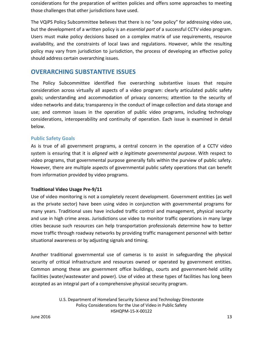considerations for the preparation of written policies and offers some approaches to meeting those challenges that other jurisdictions have used.

The VQiPS Policy Subcommittee believes that there is no "one policy" for addressing video use, but the development of a written policy is an *essential part* of a successful CCTV video program. Users must make policy decisions based on a complex matrix of use requirements, resource availability, and the constraints of local laws and regulations. However, while the resulting policy may vary from jurisdiction to jurisdiction, the process of developing an effective policy should address certain overarching issues.

## **OVERARCHING SUBSTANTIVE ISSUES**

The Policy Subcommittee identified five overarching substantive issues that require consideration across virtually all aspects of a video program: clearly articulated public safety goals; understanding and accommodation of privacy concerns; attention to the security of video networks and data; transparency in the conduct of image collection and data storage and use; and common issues in the operation of public video programs, including technology considerations, interoperability and continuity of operation. Each issue is examined in detail below.

#### **Public Safety Goals**

As is true of all government programs, a central concern in the operation of a CCTV video system is ensuring that it is *aligned with a legitimate governmental purpose*. With respect to video programs, that governmental purpose generally falls within the purview of public safety. However, there are multiple aspects of governmental public safety operations that can benefit from information provided by video programs.

#### **Traditional Video Usage Pre-9/11**

Use of video monitoring is not a completely recent development. Government entities (as well as the private sector) have been using video in conjunction with governmental programs for many years. Traditional uses have included traffic control and management, physical security and use in high crime areas. Jurisdictions use video to monitor traffic operations in many large cities because such resources can help transportation professionals determine how to better move traffic through roadway networks by providing traffic management personnel with better situational awareness or by adjusting signals and timing.

Another traditional governmental use of cameras is to assist in safeguarding the physical security of critical infrastructure and resources owned or operated by government entities. Common among these are government office buildings, courts and government-held utility facilities (water/wastewater and power). Use of video at these types of facilities has long been accepted as an integral part of a comprehensive physical security program.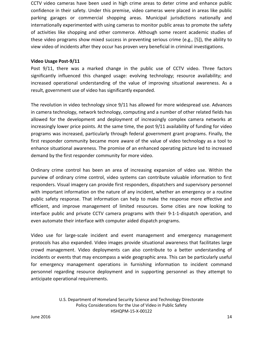CCTV video cameras have been used in high crime areas to deter crime and enhance public confidence in their safety. Under this premise, video cameras were placed in areas like public parking garages or commercial shopping areas. Municipal jurisdictions nationally and internationally experimented with using cameras to monitor public areas to promote the safety of activities like shopping and other commerce. Although some recent academic studies of these video programs show mixed success in preventing serious crime (e.g., [5]), the ability to view video of incidents after they occur has proven very beneficial in criminal investigations.

#### **Video Usage Post-9/11**

Post 9/11, there was a marked change in the public use of CCTV video. Three factors significantly influenced this changed usage: evolving technology; resource availability; and increased operational understanding of the value of improving situational awareness. As a result, government use of video has significantly expanded.

The revolution in video technology since 9/11 has allowed for more widespread use. Advances in camera technology, network technology, computing and a number of other related fields has allowed for the development and deployment of increasingly complex camera networks at increasingly lower price points. At the same time, the post 9/11 availability of funding for video programs was increased, particularly through federal government grant programs. Finally, the first responder community became more aware of the value of video technology as a tool to enhance situational awareness. The promise of an enhanced operating picture led to increased demand by the first responder community for more video.

Ordinary crime control has been an area of increasing expansion of video use. Within the purview of ordinary crime control, video systems can contribute valuable information to first responders. Visual imagery can provide first responders, dispatchers and supervisory personnel with important information on the nature of any incident, whether an emergency or a routine public safety response. That information can help to make the response more effective and efficient, and improve management of limited resources. Some cities are now looking to interface public and private CCTV camera programs with their 9-1-1-dispatch operation, and even automate their interface with computer aided dispatch programs.

Video use for large-scale incident and event management and emergency management protocols has also expanded. Video images provide situational awareness that facilitates large crowd management. Video deployments can also contribute to a better understanding of incidents or events that may encompass a wide geographic area. This can be particularly useful for emergency management operations in furnishing information to incident command personnel regarding resource deployment and in supporting personnel as they attempt to anticipate operational requirements.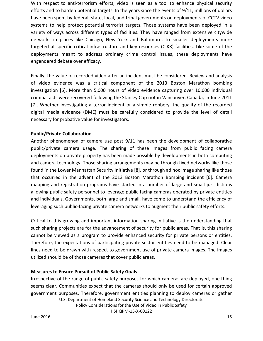With respect to anti-terrorism efforts, video is seen as a tool to enhance physical security efforts and to harden potential targets. In the years since the events of 9/11, millions of dollars have been spent by federal, state, local, and tribal governments on deployments of CCTV video systems to help protect potential terrorist targets. Those systems have been deployed in a variety of ways across different types of facilities. They have ranged from extensive citywide networks in places like Chicago, New York and Baltimore, to smaller deployments more targeted at specific critical infrastructure and key resources (CIKR) facilities. Like some of the deployments meant to address ordinary crime control issues, these deployments have engendered debate over efficacy.

Finally, the value of recorded video after an incident must be considered. Review and analysis of video evidence was a critical component of the 2013 Boston Marathon bombing investigation [6]. More than 5,000 hours of video evidence capturing over 10,000 individual criminal acts were recovered following the Stanley Cup riot in Vancouver, Canada, in June 2011 [7]. Whether investigating a terror incident or a simple robbery, the quality of the recorded digital media evidence (DME) must be carefully considered to provide the level of detail necessary for probative value for investigators.

#### **Public/Private Collaboration**

Another phenomenon of camera use post 9/11 has been the development of collaborative public/private camera usage. The sharing of these images from public facing camera deployments on private property has been made possible by developments in both computing and camera technology. Those sharing arrangements may be through fixed networks like those found in the Lower Manhattan Security Initiative [8], or through ad hoc image sharing like those that occurred in the advent of the 2013 Boston Marathon Bombing incident [6]. Camera mapping and registration programs have started in a number of large and small jurisdictions allowing public safety personnel to leverage public facing cameras operated by private entities and individuals. Governments, both large and small, have come to understand the efficiency of leveraging such public-facing private camera networks to augment their public safety efforts.

Critical to this growing and important information sharing initiative is the understanding that such sharing projects are for the advancement of security for public areas. That is, this sharing cannot be viewed as a program to provide enhanced security for private persons or entities. Therefore, the expectations of participating private sector entities need to be managed. Clear lines need to be drawn with respect to government use of private camera images. The images utilized should be of those cameras that cover public areas.

#### **Measures to Ensure Pursuit of Public Safety Goals**

U.S. Department of Homeland Security Science and Technology Directorate Policy Considerations for the Use of Video in Public Safety HSHQPM-15-X-00122 Irrespective of the range of public safety purposes for which cameras are deployed, one thing seems clear. Communities expect that the cameras should only be used for certain approved government purposes. Therefore, government entities planning to deploy cameras or gather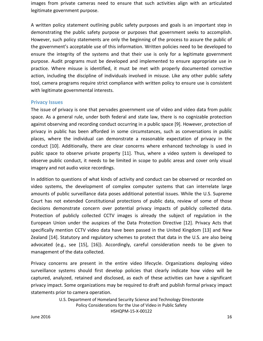images from private cameras need to ensure that such activities align with an articulated legitimate government purpose.

A written policy statement outlining public safety purposes and goals is an important step in demonstrating the public safety purpose or purposes that government seeks to accomplish. However, such policy statements are only the beginning of the process to assure the public of the government's acceptable use of this information. Written policies need to be developed to ensure the integrity of the systems and that their use is only for a legitimate government purpose. Audit programs must be developed and implemented to ensure appropriate use in practice. Where misuse is identified, it must be met with properly documented corrective action, including the discipline of individuals involved in misuse. Like any other public safety tool, camera programs require strict compliance with written policy to ensure use is consistent with legitimate governmental interests.

#### **Privacy Issues**

The issue of privacy is one that pervades government use of video and video data from public space. As a general rule, under both federal and state law, there is no cognizable protection against observing and recording conduct occurring in a public space [9]. However, protection of privacy in public has been afforded in some circumstances, such as conversations in public places, where the individual can demonstrate a reasonable expectation of privacy in the conduct [10]. Additionally, there are clear concerns where enhanced technology is used in public space to observe private property [11]. Thus, where a video system is developed to observe public conduct, it needs to be limited in scope to public areas and cover only visual imagery and not audio voice recordings.

In addition to questions of what kinds of activity and conduct can be observed or recorded on video systems, the development of complex computer systems that can interrelate large amounts of public surveillance data poses additional potential issues. While the U.S. Supreme Court has not extended Constitutional protections of public data, review of some of those decisions demonstrate concern over potential privacy impacts of publicly collected data. Protection of publicly collected CCTV images is already the subject of regulation in the European Union under the auspices of the Data Protection Directive [12]. Privacy Acts that specifically mention CCTV video data have been passed in the United Kingdom [13] and New Zealand [14]. Statutory and regulatory schemes to protect that data in the U.S. are also being advocated (e.g., see [15], [16]). Accordingly, careful consideration needs to be given to management of the data collected.

Privacy concerns are present in the entire video lifecycle. Organizations deploying video surveillance systems should first develop policies that clearly indicate how video will be captured, analyzed, retained and disclosed, as each of these activities can have a significant privacy impact. Some organizations may be required to draft and publish formal privacy impact statements prior to camera operation.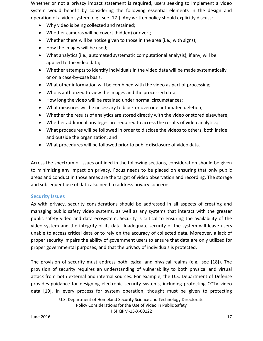Whether or not a privacy impact statement is required, users seeking to implement a video system would benefit by considering the following essential elements in the design and operation of a video system (e.g., see [17]). Any written policy should explicitly discuss:

- Why video is being collected and retained;
- Whether cameras will be covert (hidden) or overt;
- Whether there will be notice given to those in the area (i.e., with signs);
- How the images will be used;
- What analytics (i.e., automated systematic computational analysis), if any, will be applied to the video data;
- Whether attempts to identify individuals in the video data will be made systematically or on a case-by-case basis;
- What other information will be combined with the video as part of processing;
- Who is authorized to view the images and the processed data;
- How long the video will be retained under normal circumstances;
- What measures will be necessary to block or override automated deletion;
- Whether the results of analytics are stored directly with the video or stored elsewhere;
- Whether additional privileges are required to access the results of video analytics;
- What procedures will be followed in order to disclose the videos to others, both inside and outside the organization; and
- What procedures will be followed prior to public disclosure of video data.

Across the spectrum of issues outlined in the following sections, consideration should be given to minimizing any impact on privacy. Focus needs to be placed on ensuring that only public areas and conduct in those areas are the target of video observation and recording. The storage and subsequent use of data also need to address privacy concerns.

#### **Security Issues**

As with privacy, security considerations should be addressed in all aspects of creating and managing public safety video systems, as well as any systems that interact with the greater public safety video and data ecosystem. Security is critical to ensuring the availability of the video system and the integrity of its data. Inadequate security of the system will leave users unable to access critical data or to rely on the accuracy of collected data. Moreover, a lack of proper security impairs the ability of government users to ensure that data are only utilized for proper governmental purposes, and that the privacy of individuals is protected.

The provision of security must address both logical and physical realms (e.g., see [18]). The provision of security requires an understanding of vulnerability to both physical and virtual attack from both external and internal sources. For example, the U.S. Department of Defense provides guidance for designing electronic security systems, including protecting CCTV video data [19]. In every process for system operation, thought must be given to protecting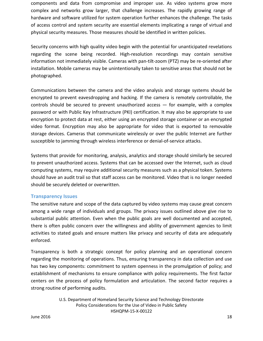components and data from compromise and improper use. As video systems grow more complex and networks grow larger, that challenge increases. The rapidly growing range of hardware and software utilized for system operation further enhances the challenge. The tasks of access control and system security are essential elements implicating a range of virtual and physical security measures. Those measures should be identified in written policies.

Security concerns with high quality video begin with the potential for unanticipated revelations regarding the scene being recorded. High-resolution recordings may contain sensitive information not immediately visible. Cameras with pan-tilt-zoom (PTZ) may be re-oriented after installation. Mobile cameras may be unintentionally taken to sensitive areas that should not be photographed.

Communications between the camera and the video analysis and storage systems should be encrypted to prevent eavesdropping and hacking. If the camera is remotely controllable, the controls should be secured to prevent unauthorized access  $-$  for example, with a complex password or with Public Key Infrastructure (PKI) certification. It may also be appropriate to use encryption to protect data at rest, either using an encrypted storage container or an encrypted video format. Encryption may also be appropriate for video that is exported to removable storage devices. Cameras that communicate wirelessly or over the public Internet are further susceptible to jamming through wireless interference or denial-of-service attacks.

Systems that provide for monitoring, analysis, analytics and storage should similarly be secured to prevent unauthorized access. Systems that can be accessed over the Internet, such as cloud computing systems, may require additional security measures such as a physical token. Systems should have an audit trail so that staff access can be monitored. Video that is no longer needed should be securely deleted or overwritten.

#### **Transparency Issues**

The sensitive nature and scope of the data captured by video systems may cause great concern among a wide range of individuals and groups. The privacy issues outlined above give rise to substantial public attention. Even when the public goals are well documented and accepted, there is often public concern over the willingness and ability of government agencies to limit activities to stated goals and ensure matters like privacy and security of data are adequately enforced.

Transparency is both a strategic concept for policy planning and an operational concern regarding the monitoring of operations. Thus, ensuring transparency in data collection and use has two key components: commitment to system openness in the promulgation of policy; and establishment of mechanisms to ensure compliance with policy requirements. The first factor centers on the process of policy formulation and articulation. The second factor requires a strong routine of performing audits.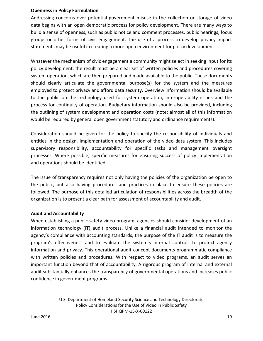#### **Openness in Policy Formulation**

Addressing concerns over potential government misuse in the collection or storage of video data begins with an open democratic process for policy development. There are many ways to build a sense of openness, such as public notice and comment processes, public hearings, focus groups or other forms of civic engagement. The use of a process to develop privacy impact statements may be useful in creating a more open environment for policy development.

Whatever the mechanism of civic engagement a community might select in seeking input for its policy development, the result must be a clear set of written policies and procedures covering system operation, which are then prepared and made available to the public. These documents should clearly articulate the governmental purpose(s) for the system and the measures employed to protect privacy and afford data security. Overview information should be available to the public on the technology used for system operation, interoperability issues and the process for continuity of operation. Budgetary information should also be provided, including the outlining of system development and operation costs (note: almost all of this information would be required by general open government statutory and ordinance requirements).

Consideration should be given for the policy to specify the responsibility of individuals and entities in the design, implementation and operation of the video data system. This includes supervisory responsibility, accountability for specific tasks and management oversight processes. Where possible, specific measures for ensuring success of policy implementation and operations should be identified.

The issue of transparency requires not only having the policies of the organization be open to the public, but also having procedures and practices in place to ensure these policies are followed. The purpose of this detailed articulation of responsibilities across the breadth of the organization is to present a clear path for assessment of accountability and audit.

#### **Audit and Accountability**

When establishing a public safety video program, agencies should consider development of an information technology (IT) audit process. Unlike a financial audit intended to monitor the agency's compliance with accounting standards, the purpose of the IT audit is to measure the program's effectiveness and to evaluate the system's internal controls to protect agency information and privacy. This operational audit concept documents programmatic compliance with written policies and procedures. With respect to video programs, an audit serves an important function beyond that of accountability. A rigorous program of internal and external audit substantially enhances the transparency of governmental operations and increases public confidence in government programs.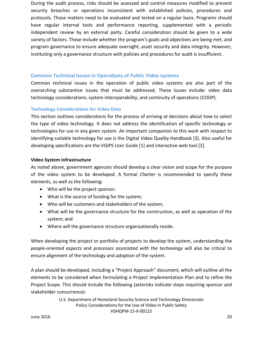During the audit process, risks should be assessed and control measures modified to prevent security breaches or operations inconsistent with established policies, procedures and protocols. Those matters need to be evaluated and tested on a regular basis. Programs should have regular internal tests and performance reporting, supplemented with a periodic independent review by an external party. Careful consideration should be given to a wide variety of factors. These include whether the program's goals and objectives are being met, and program governance to ensure adequate oversight, asset security and data integrity. However, instituting only a governance structure with policies and procedures for audit is insufficient.

#### **Common Technical Issues in Operations of Public Video systems**

Common technical issues in the operation of public video systems are also part of the overarching substantive issues that must be addressed. These issues include: video data technology considerations; system interoperability; and continuity of operations (COOP).

#### **Technology Considerations for Video Data**

This section outlines considerations for the process of arriving at decisions about how to select the type of video technology. It does not address the identification of specific technology or technologies for use in any given system. An important companion to this work with respect to identifying suitable technology for use is the Digital Video Quality Handbook [3]. Also useful for developing specifications are the VQiPS User Guide [1] and interactive web tool [2].

#### **Video System Infrastructure**

As noted above, government agencies should develop a clear vision and scope for the purpose of the video system to be developed. A formal *Charter* is recommended to specify these elements, as well as the following:

- Who will be the project sponsor;
- What is the source of funding for the system;
- Who will be customers and stakeholders of the system;
- What will be the governance structure for the construction, as well as operation of the system; and
- Where will the governance structure organizationally reside.

When developing the project or portfolio of projects to develop the system, understanding the *people-oriented aspects* and *processes associated with the technology* will also be critical to ensure alignment of the technology and adoption of the system.

A plan should be developed, including a "Project Approach" document, which will outline all the elements to be considered when formulating a Project Implementation Plan and to refine the Project Scope. This should include the following (asterisks indicate steps requiring sponsor and stakeholder concurrence):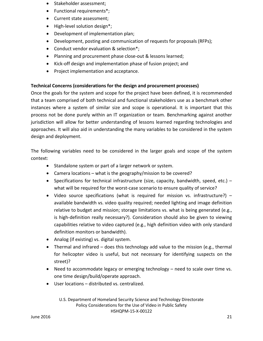- Stakeholder assessment;
- Functional requirements\*;
- Current state assessment;
- High-level solution design\*;
- Development of implementation plan;
- Development, posting and communication of requests for proposals (RFPs);
- Conduct vendor evaluation & selection\*;
- Planning and procurement phase close-out & lessons learned;
- Kick-off design and implementation phase of fusion project; and
- Project implementation and acceptance.

#### **Technical Concerns (considerations for the design and procurement processes)**

Once the goals for the system and scope for the project have been defined, it is recommended that a team comprised of both technical and functional stakeholders use as a benchmark other instances where a system of similar size and scope is operational. It is important that this process not be done purely within an IT organization or team. Benchmarking against another jurisdiction will allow for better understanding of lessons learned regarding technologies and approaches. It will also aid in understanding the many variables to be considered in the system design and deployment.

The following variables need to be considered in the larger goals and scope of the system context:

- Standalone system or part of a larger network or system.
- Camera locations what is the geography/mission to be covered?
- Specifications for technical infrastructure (size, capacity, bandwidth, speed, etc.) what will be required for the worst-case scenario to ensure quality of service?
- Video source specifications (what is required for mission vs. infrastructure?) available bandwidth vs. video quality required; needed lighting and image definition relative to budget and mission; storage limitations vs. what is being generated (e.g., is high-definition really necessary?). Consideration should also be given to viewing capabilities relative to video captured (e.g., high definition video with only standard definition monitors or bandwidth).
- Analog (if existing) vs. digital system.
- Thermal and infrared  $-$  does this technology add value to the mission (e.g., thermal for helicopter video is useful, but not necessary for identifying suspects on the street)?
- Need to accommodate legacy or emerging technology need to scale over time vs. one time design/build/operate approach.
- User locations distributed vs. centralized.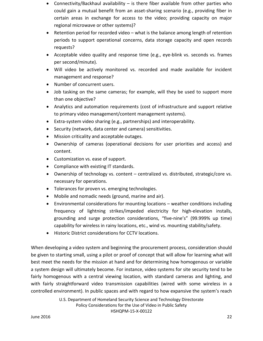- Connectivity/Backhaul availability is there fiber available from other parties who could gain a mutual benefit from an asset-sharing scenario (e.g., providing fiber in certain areas in exchange for access to the video; providing capacity on major regional microwave or other systems)?
- Retention period for recorded video what is the balance among length of retention periods to support operational concerns, data storage capacity and open records requests?
- Acceptable video quality and response time (e.g., eye-blink vs. seconds vs. frames per second/minute).
- Will video be actively monitored vs. recorded and made available for incident management and response?
- Number of concurrent users.
- Job tasking on the same cameras; for example, will they be used to support more than one objective?
- Analytics and automation requirements (cost of infrastructure and support relative to primary video management/content management systems).
- Extra-system video sharing (e.g., partnerships) and interoperability.
- Security (network, data center and camera) sensitivities.
- Mission criticality and acceptable outages.
- Ownership of cameras (operational decisions for user priorities and access) and content.
- Customization vs. ease of support.
- Compliance with existing IT standards.
- Ownership of technology vs. content centralized vs. distributed, strategic/core vs. necessary for operations.
- Tolerances for proven vs. emerging technologies.
- Mobile and nomadic needs (ground, marine and air).
- Environmental considerations for mounting locations weather conditions including frequency of lightning strikes/impeded electricity for high-elevation installs, grounding and surge protection considerations, "five-nine's" (99.999% up time) capability for wireless in rainy locations, etc., wind vs. mounting stability/safety.
- Historic District considerations for CCTV locations.

When developing a video system and beginning the procurement process, consideration should be given to starting small, using a pilot or proof of concept that will allow for learning what will best meet the needs for the mission at hand and for determining how homogenous or variable a system design will ultimately become. For instance, video systems for site security tend to be fairly homogenous with a central viewing location, with standard cameras and lighting, and with fairly straightforward video transmission capabilities (wired with some wireless in a controlled environment). In public spaces and with regard to how expansive the system's reach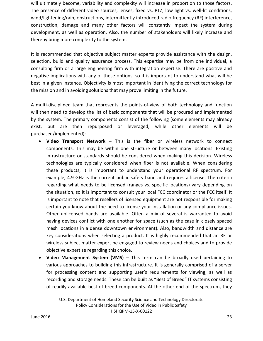will ultimately become, variability and complexity will increase in proportion to those factors. The presence of different video sources, lenses, fixed vs. PTZ, low light vs. well-lit conditions, wind/lightening/rain, obstructions, intermittently introduced radio frequency (RF) interference, construction, damage and many other factors will constantly impact the system during development, as well as operation. Also, the number of stakeholders will likely increase and thereby bring more complexity to the system.

It is recommended that objective subject matter experts provide assistance with the design, selection, build and quality assurance process. This expertise may be from one individual, a consulting firm or a large engineering firm with integration expertise. There are positive and negative implications with any of these options, so it is important to understand what will be best in a given instance. Objectivity is most important in identifying the correct technology for the mission and in avoiding solutions that may prove limiting in the future.

A multi-disciplined team that represents the points-of-view of both technology and function will then need to develop the list of basic components that will be procured and implemented by the system. The primary components consist of the following (some elements may already exist, but are then repurposed or leveraged, while other elements will be purchased/implemented):

- **Video Transport Network** This is the fiber or wireless network to connect components. This may be within one structure or between many locations. Existing infrastructure or standards should be considered when making this decision. Wireless technologies are typically considered when fiber is not available. When considering these products, it is important to understand your operational RF spectrum. For example, 4.9 GHz is the current public safety band and requires a license. The criteria regarding what needs to be licensed (ranges vs. specific locations) vary depending on the situation, so it is important to consult your local FCC coordinator or the FCC itself. It is important to note that resellers of licensed equipment are not responsible for making certain you know about the need to license your installation or any compliance issues. Other unlicensed bands are available. Often a mix of several is warranted to avoid having devices conflict with one another for space (such as the case in closely spaced mesh locations in a dense downtown environment). Also, bandwidth and distance are key considerations when selecting a product. It is highly recommended that an RF or wireless subject matter expert be engaged to review needs and choices and to provide objective expertise regarding this choice.
- **Video Management System (VMS)** This term can be broadly used pertaining to various approaches to building this infrastructure. It is generally comprised of a server for processing content and supporting user's requirements for viewing, as well as recording and storage needs. These can be built as "Best of Breed" IT systems consisting of readily available best of breed components. At the other end of the spectrum, they

U.S. Department of Homeland Security Science and Technology Directorate Policy Considerations for the Use of Video in Public Safety HSHQPM-15-X-00122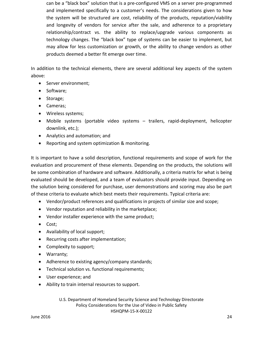can be a "black box" solution that is a pre-configured VMS on a server pre-programmed and implemented specifically to a customer's needs. The considerations given to how the system will be structured are cost, reliability of the products, reputation/viability and longevity of vendors for service after the sale, and adherence to a proprietary relationship/contract vs. the ability to replace/upgrade various components as technology changes. The "black box" type of systems can be easier to implement, but may allow for less customization or growth, or the ability to change vendors as other products deemed a better fit emerge over time.

In addition to the technical elements, there are several additional key aspects of the system above:

- Server environment;
- Software;
- Storage;
- Cameras;
- Wireless systems;
- Mobile systems (portable video systems trailers, rapid-deployment, helicopter downlink, etc.);
- Analytics and automation; and
- Reporting and system optimization & monitoring.

It is important to have a solid description, functional requirements and scope of work for the evaluation and procurement of these elements. Depending on the products, the solutions will be some combination of hardware and software. Additionally, a criteria matrix for what is being evaluated should be developed, and a team of evaluators should provide input. Depending on the solution being considered for purchase, user demonstrations and scoring may also be part of these criteria to evaluate which best meets their requirements. Typical criteria are:

- Vendor/product references and qualifications in projects of similar size and scope;
- Vendor reputation and reliability in the marketplace;
- Vendor installer experience with the same product;
- Cost;
- Availability of local support;
- Recurring costs after implementation;
- Complexity to support;
- Warranty;
- Adherence to existing agency/company standards;
- Technical solution vs. functional requirements;
- User experience; and
- Ability to train internal resources to support.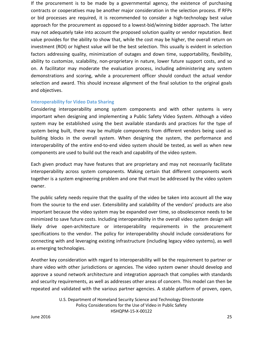If the procurement is to be made by a governmental agency, the existence of purchasing contracts or cooperatives may be another major consideration in the selection process. If RFPs or bid processes are required, it is recommended to consider a high-technology best value approach for the procurement as opposed to a lowest-bid/winning bidder approach. The latter may not adequately take into account the proposed solution quality or vendor reputation. Best value provides for the ability to show that, while the cost may be higher, the overall return on investment (ROI) or highest value will be the best selection. This usually is evident in selection factors addressing quality, minimization of outages and down time, supportability, flexibility, ability to customize, scalability, non-proprietary in nature, lower future support costs, and so on. A facilitator may moderate the evaluation process, including administering any system demonstrations and scoring, while a procurement officer should conduct the actual vendor selection and award. This should increase alignment of the final solution to the original goals and objectives.

#### **Interoperability for Video Data Sharing**

Considering interoperability among system components and with other systems is very important when designing and implementing a Public Safety Video System. Although a video system may be established using the best available standards and practices for the type of system being built, there may be multiple components from different vendors being used as building blocks in the overall system. When designing the system, the performance and interoperability of the entire end-to-end video system should be tested, as well as when new components are used to build out the reach and capability of the video system.

Each given product may have features that are proprietary and may not necessarily facilitate interoperability across system components. Making certain that different components work together is a system engineering problem and one that must be addressed by the video system owner.

The public safety needs require that the quality of the video be taken into account all the way from the source to the end user. Extensibility and scalability of the vendors' products are also important because the video system may be expanded over time, so obsolescence needs to be minimized to save future costs. Including interoperability in the overall video system design will likely drive open-architecture or interoperability requirements in the procurement specifications to the vendor. The policy for interoperability should include considerations for connecting with and leveraging existing infrastructure (including legacy video systems), as well as emerging technologies.

Another key consideration with regard to interoperability will be the requirement to partner or share video with other jurisdictions or agencies. The video system owner should develop and approve a sound network architecture and integration approach that complies with standards and security requirements, as well as addresses other areas of concern. This model can then be repeated and validated with the various partner agencies. A stable platform of proven, open,

U.S. Department of Homeland Security Science and Technology Directorate Policy Considerations for the Use of Video in Public Safety HSHQPM-15-X-00122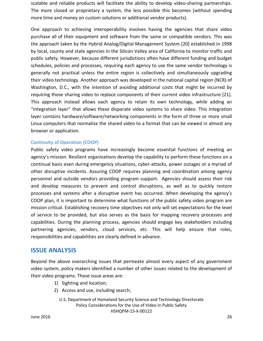scalable and reliable products will facilitate the ability to develop video-sharing partnerships. The more closed or proprietary a system, the less possible this becomes (without spending more time and money on custom solutions or additional vendor products).

One approach to achieving interoperability involves having the agencies that share video purchase all of their equipment and software from the same or compatible vendors. This was the approach taken by the Hybrid Analog/Digital Management System [20] established in 1998 by local, county and state agencies in the Silicon Valley area of California to monitor traffic and public safety. However, because different jurisdictions often have different funding and budget schedules, policies and processes, requiring each agency to use the same vendor technology is generally not practical unless the entire region is collectively and simultaneously upgrading their video technology. Another approach was developed in the national capital region (NCR) of Washington, D.C., with the intention of avoiding additional costs that might be incurred by requiring those sharing video to replace components of their current video infrastructure [21]. This approach instead allows each agency to retain its own technology, while adding an "integration layer" that allows these disparate video systems to share video. This integration layer contains hardware/software/networking components in the form of three or more small Linux computers that normalize the shared video to a format that can be viewed in almost any browser or application.

#### **Continuity of Operation (COOP)**

Public safety video programs have increasingly become essential functions of meeting an agency's mission. Resilient organizations develop the capability to perform these functions on a continual basis even during emergency situations, cyber-attacks, power outages or a myriad of other disruptive incidents. Assuring COOP requires planning and coordination among agency personnel and outside vendors providing program support. Agencies should assess their risk and develop measures to prevent and control disruptions, as well as to quickly restore processes and systems after a disruptive event has occurred. When developing the agency's COOP plan, it is important to determine what functions of the public safety video program are mission critical. Establishing recovery time objectives not only will set expectations for the level of service to be provided, but also serves as the basis for mapping recovery processes and capabilities. During the planning process, agencies should engage key stakeholders including partnering agencies, vendors, cloud services, etc. This will help ensure that roles, responsibilities and capabilities are clearly defined in advance.

### **ISSUE ANALYSIS**

Beyond the above overarching issues that permeate almost every aspect of any government video system, policy makers identified a number of other issues related to the development of their video programs. Those issue areas are:

- 1) Sighting and location;
- 2) Access and use, including search;
	- U.S. Department of Homeland Security Science and Technology Directorate Policy Considerations for the Use of Video in Public Safety HSHQPM-15-X-00122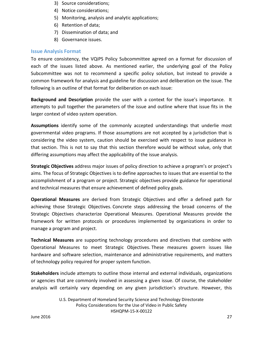- 3) Source considerations;
- 4) Notice considerations;
- 5) Monitoring, analysis and analytic applications;
- 6) Retention of data;
- 7) Dissemination of data; and
- 8) Governance issues.

#### **Issue Analysis Format**

To ensure consistency, the VQiPS Policy Subcommittee agreed on a format for discussion of each of the issues listed above. As mentioned earlier, the underlying goal of the Policy Subcommittee was not to recommend a specific policy solution, but instead to provide a common framework for analysis and guideline for discussion and deliberation on the issue. The following is an outline of that format for deliberation on each issue:

**Background and Description** provide the user with a context for the issue's importance. It attempts to pull together the parameters of the issue and outline where that issue fits in the larger context of video system operation.

**Assumptions** identify some of the commonly accepted understandings that underlie most governmental video programs. If those assumptions are not accepted by a jurisdiction that is considering the video system, caution should be exercised with respect to issue guidance in that section. This is not to say that this section therefore would be without value, only that differing assumptions may affect the applicability of the issue analysis.

**Strategic Objectives** address major issues of policy direction to achieve a program's or project's aims. The focus of Strategic Objectives is to define approaches to issues that are essential to the accomplishment of a program or project. Strategic objectives provide guidance for operational and technical measures that ensure achievement of defined policy goals.

**Operational Measures** are derived from Strategic Objectives and offer a defined path for achieving those Strategic Objectives. Concrete steps addressing the broad concerns of the Strategic Objectives characterize Operational Measures. Operational Measures provide the framework for written protocols or procedures implemented by organizations in order to manage a program and project.

**Technical Measures** are supporting technology procedures and directives that combine with Operational Measures to meet Strategic Objectives. These measures govern issues like hardware and software selection, maintenance and administrative requirements, and matters of technology policy required for proper system function.

**Stakeholders** include attempts to outline those internal and external individuals, organizations or agencies that are commonly involved in assessing a given issue. Of course, the stakeholder analysis will certainly vary depending on any given jurisdiction's structure. However, this

U.S. Department of Homeland Security Science and Technology Directorate Policy Considerations for the Use of Video in Public Safety HSHQPM-15-X-00122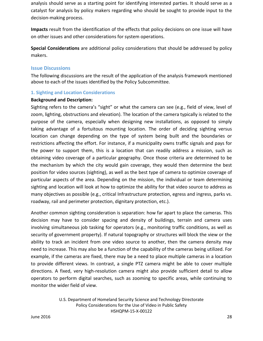analysis should serve as a starting point for identifying interested parties. It should serve as a catalyst for analysis by policy makers regarding who should be sought to provide input to the decision-making process.

**Impacts** result from the identification of the effects that policy decisions on one issue will have on other issues and other considerations for system operations.

**Special Considerations** are additional policy considerations that should be addressed by policy makers.

#### **Issue Discussions**

The following discussions are the result of the application of the analysis framework mentioned above to each of the issues identified by the Policy Subcommittee.

#### **1. Sighting and Location Considerations**

#### **Background and Description:**

Sighting refers to the camera's "sight" or what the camera can see (e.g., field of view, level of zoom, lighting, obstructions and elevation). The location of the camera typically is related to the purpose of the camera, especially when designing new installations, as opposed to simply taking advantage of a fortuitous mounting location. The order of deciding sighting versus location can change depending on the type of system being built and the boundaries or restrictions affecting the effort. For instance, if a municipality owns traffic signals and pays for the power to support them, this is a location that can readily address a mission, such as obtaining video coverage of a particular geography. Once those criteria are determined to be the mechanism by which the city would gain coverage, they would then determine the best position for video sources (sighting), as well as the best type of camera to optimize coverage of particular aspects of the area. Depending on the mission, the individual or team determining sighting and location will look at how to optimize the ability for that video source to address as many objectives as possible (e.g., critical Infrastructure protection, egress and ingress, parks vs. roadway, rail and perimeter protection, dignitary protection, etc.).

Another common sighting consideration is separation: how far apart to place the cameras. This decision may have to consider spacing and density of buildings, terrain and camera uses involving simultaneous job tasking for operators (e.g., monitoring traffic conditions, as well as security of government property). If natural topography or structures will block the view or the ability to track an incident from one video source to another, then the camera density may need to increase. This may also be a function of the capability of the cameras being utilized. For example, if the cameras are fixed, there may be a need to place multiple cameras in a location to provide different views. In contrast, a single PTZ camera might be able to cover multiple directions. A fixed, very high-resolution camera might also provide sufficient detail to allow operators to perform digital searches, such as zooming to specific areas, while continuing to monitor the wider field of view.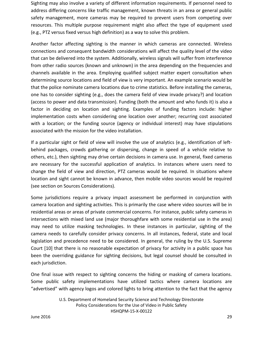Sighting may also involve a variety of different information requirements. If personnel need to address differing concerns like traffic management, known threats in an area or general public safety management, more cameras may be required to prevent users from competing over resources. This multiple purpose requirement might also affect the type of equipment used (e.g., PTZ versus fixed versus high definition) as a way to solve this problem.

Another factor affecting sighting is the manner in which cameras are connected. Wireless connections and consequent bandwidth considerations will affect the quality level of the video that can be delivered into the system. Additionally, wireless signals will suffer from interference from other radio sources (known and unknown) in the area depending on the frequencies and channels available in the area. Employing qualified subject matter expert consultation when determining source locations and field of view is very important. An example scenario would be that the police nominate camera locations due to crime statistics. Before installing the cameras, one has to consider sighting (e.g., does the camera field of view invade privacy?) and location (access to power and data transmission). Funding (both the amount and who funds it) is also a factor in deciding on location and sighting. Examples of funding factors include: higher implementation costs when considering one location over another; recurring cost associated with a location; or the funding source (agency or individual interest) may have stipulations associated with the mission for the video installation.

If a particular sight or field of view will involve the use of analytics (e.g., identification of leftbehind packages, crowds gathering or dispersing, change in speed of a vehicle relative to others, etc.), then sighting may drive certain decisions in camera use. In general, fixed cameras are necessary for the successful application of analytics. In instances where users need to change the field of view and direction, PTZ cameras would be required. In situations where location and sight cannot be known in advance, then mobile video sources would be required (see section on Sources Considerations).

Some jurisdictions require a privacy impact assessment be performed in conjunction with camera location and sighting activities. This is primarily the case where video sources will be in residential areas or areas of private commercial concerns. For instance, public safety cameras in intersections with mixed land use (major thoroughfare with some residential use in the area) may need to utilize masking technologies. In these instances in particular, sighting of the camera needs to carefully consider privacy concerns. In all instances, federal, state and local legislation and precedence need to be considered. In general, the ruling by the U.S. Supreme Court [10] that there is no reasonable expectation of privacy for activity in a public space has been the overriding guidance for sighting decisions, but legal counsel should be consulted in each jurisdiction.

One final issue with respect to sighting concerns the hiding or masking of camera locations. Some public safety implementations have utilized tactics where camera locations are "advertised" with agency logos and colored lights to bring attention to the fact that the agency

U.S. Department of Homeland Security Science and Technology Directorate Policy Considerations for the Use of Video in Public Safety HSHQPM-15-X-00122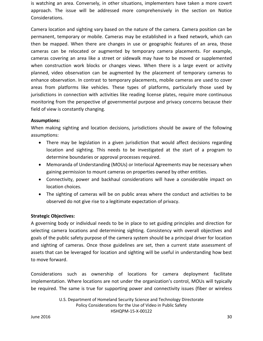is watching an area. Conversely, in other situations, implementers have taken a more covert approach. The issue will be addressed more comprehensively in the section on Notice Considerations.

Camera location and sighting vary based on the nature of the camera. Camera position can be permanent, temporary or mobile. Cameras may be established in a fixed network, which can then be mapped. When there are changes in use or geographic features of an area, those cameras can be relocated or augmented by temporary camera placements. For example, cameras covering an area like a street or sidewalk may have to be moved or supplemented when construction work blocks or changes views. When there is a large event or activity planned, video observation can be augmented by the placement of temporary cameras to enhance observation. In contrast to temporary placements, mobile cameras are used to cover areas from platforms like vehicles. These types of platforms, particularly those used by jurisdictions in connection with activities like reading license plates, require more continuous monitoring from the perspective of governmental purpose and privacy concerns because their field of view is constantly changing.

#### **Assumptions:**

When making sighting and location decisions, jurisdictions should be aware of the following assumptions:

- There may be legislation in a given jurisdiction that would affect decisions regarding location and sighting. This needs to be investigated at the start of a program to determine boundaries or approval processes required.
- Memoranda of Understanding (MOUs) or Interlocal Agreements may be necessary when gaining permission to mount cameras on properties owned by other entities.
- Connectivity, power and backhaul considerations will have a considerable impact on location choices.
- The sighting of cameras will be on public areas where the conduct and activities to be observed do not give rise to a legitimate expectation of privacy.

#### **Strategic Objectives:**

A governing body or individual needs to be in place to set guiding principles and direction for selecting camera locations and determining sighting. Consistency with overall objectives and goals of the public safety purpose of the camera system should be a principal driver for location and sighting of cameras. Once those guidelines are set, then a current state assessment of assets that can be leveraged for location and sighting will be useful in understanding how best to move forward.

Considerations such as ownership of locations for camera deployment facilitate implementation. Where locations are not under the organization's control, MOUs will typically be required. The same is true for supporting power and connectivity issues (fiber or wireless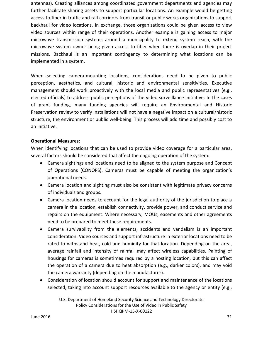antennas). Creating alliances among coordinated government departments and agencies may further facilitate sharing assets to support particular locations. An example would be getting access to fiber in traffic and rail corridors from transit or public works organizations to support backhaul for video locations. In exchange, those organizations could be given access to view video sources within range of their operations. Another example is gaining access to major microwave transmission systems around a municipality to extend system reach, with the microwave system owner being given access to fiber when there is overlap in their project missions. Backhaul is an important contingency to determining what locations can be implemented in a system.

When selecting camera-mounting locations, considerations need to be given to public perception, aesthetics, and cultural, historic and environmental sensitivities. Executive management should work proactively with the local media and public representatives (e.g., elected officials) to address public perceptions of the video surveillance initiative. In the cases of grant funding, many funding agencies will require an Environmental and Historic Preservation review to verify installations will not have a negative impact on a cultural/historic structure, the environment or public well-being. This process will add time and possibly cost to an initiative.

#### **Operational Measures:**

When identifying locations that can be used to provide video coverage for a particular area, several factors should be considered that affect the ongoing operation of the system:

- Camera sightings and locations need to be aligned to the system purpose and Concept of Operations (CONOPS). Cameras must be capable of meeting the organization's operational needs.
- Camera location and sighting must also be consistent with legitimate privacy concerns of individuals and groups.
- Camera location needs to account for the legal authority of the jurisdiction to place a camera in the location, establish connectivity, provide power, and conduct service and repairs on the equipment. Where necessary, MOUs, easements and other agreements need to be prepared to meet these requirements.
- Camera survivability from the elements, accidents and vandalism is an important consideration. Video sources and support infrastructure in exterior locations need to be rated to withstand heat, cold and humidity for that location. Depending on the area, average rainfall and intensity of rainfall may affect wireless capabilities. Painting of housings for cameras is sometimes required by a hosting location, but this can affect the operation of a camera due to heat absorption (e.g., darker colors), and may void the camera warranty (depending on the manufacturer).
- Consideration of location should account for support and maintenance of the locations selected, taking into account support resources available to the agency or entity (e.g.,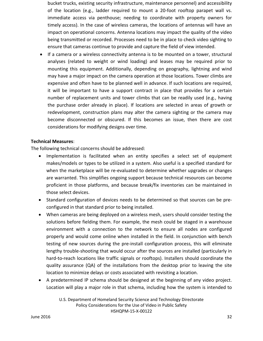bucket trucks, existing security infrastructure, maintenance personnel) and accessibility of the location (e.g., ladder required to mount a 20-foot rooftop parapet wall vs. immediate access via penthouse; needing to coordinate with property owners for timely access). In the case of wireless cameras, the locations of antennas will have an impact on operational concerns. Antenna locations may impact the quality of the video being transmitted or recorded. Processes need to be in place to check video sighting to ensure that cameras continue to provide and capture the field of view intended.

• If a camera or a wireless connectivity antenna is to be mounted on a tower, structural analyses (related to weight or wind loading) and leases may be required prior to mounting this equipment. Additionally, depending on geography, lightning and wind may have a major impact on the camera operation at those locations. Tower climbs are expensive and often have to be planned well in advance. If such locations are required, it will be important to have a support contract in place that provides for a certain number of replacement units and tower climbs that can be readily used (e.g., having the purchase order already in place). If locations are selected in areas of growth or redevelopment, construction plans may alter the camera sighting or the camera may become disconnected or obscured. If this becomes an issue, then there are cost considerations for modifying designs over time.

#### **Technical Measures**:

The following technical concerns should be addressed:

- Implementation is facilitated when an entity specifies a select set of equipment makes/models or types to be utilized in a system. Also useful is a specified standard for when the marketplace will be re-evaluated to determine whether upgrades or changes are warranted. This simplifies ongoing support because technical resources can become proficient in those platforms, and because break/fix inventories can be maintained in those select devices.
- Standard configuration of devices needs to be determined so that sources can be preconfigured in that standard prior to being installed.
- When cameras are being deployed on a wireless mesh, users should consider testing the solutions before fielding them. For example, the mesh could be staged in a warehouse environment with a connection to the network to ensure all nodes are configured properly and would come online when installed in the field. In conjunction with bench testing of new sources during the pre-install configuration process, this will eliminate lengthy trouble-shooting that would occur after the sources are installed (particularly in hard-to-reach locations like traffic signals or rooftops). Installers should coordinate the quality assurance (QA) of the installations from the desktop prior to leaving the site location to minimize delays or costs associated with revisiting a location.
- A predetermined IP schema should be designed at the beginning of any video project. Location will play a major role in that schema, including how the system is intended to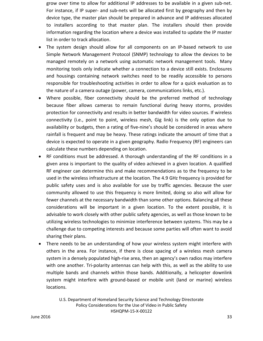grow over time to allow for additional IP addresses to be available in a given sub-net. For instance, if IP super- and sub-nets will be allocated first by geography and then by device type, the master plan should be prepared in advance and IP addresses allocated to installers according to that master plan. The installers should then provide information regarding the location where a device was installed to update the IP master list in order to track allocation.

- The system design should allow for all components on an IP-based network to use Simple Network Management Protocol (SNMP) technology to allow the devices to be managed remotely on a network using automatic network management tools. Many monitoring tools only indicate whether a connection to a device still exists. Enclosures and housings containing network switches need to be readily accessible to persons responsible for troubleshooting activities in order to allow for a quick evaluation as to the nature of a camera outage (power, camera, communications links, etc.).
- Where possible, fiber connectivity should be the preferred method of technology because fiber allows cameras to remain functional during heavy storms, provides protection for connectivity and results in better bandwidth for video sources. If wireless connectivity (i.e., point to point, wireless mesh, Gig link) is the only option due to availability or budgets, then a rating of five-nine's should be considered in areas where rainfall is frequent and may be heavy. These ratings indicate the amount of time that a device is expected to operate in a given geography. Radio Frequency (RF) engineers can calculate these numbers depending on location.
- RF conditions must be addressed. A thorough understanding of the RF conditions in a given area is important to the quality of video achieved in a given location. A qualified RF engineer can determine this and make recommendations as to the frequency to be used in the wireless infrastructure at the location. The 4.9 GHz frequency is provided for public safety uses and is also available for use by traffic agencies. Because the user community allowed to use this frequency is more limited, doing so also will allow for fewer channels at the necessary bandwidth than some other options. Balancing all these considerations will be important in a given location. To the extent possible, it is advisable to work closely with other public safety agencies, as well as those known to be utilizing wireless technologies to minimize interference between systems. This may be a challenge due to competing interests and because some parties will often want to avoid sharing their plans.
- There needs to be an understanding of how your wireless system might interfere with others in the area. For instance, if there is close spacing of a wireless mesh camera system in a densely populated high-rise area, then an agency's own radios may interfere with one another. Tri-polarity antennas can help with this, as well as the ability to use multiple bands and channels within those bands. Additionally, a helicopter downlink system might interfere with ground-based or mobile unit (land or marine) wireless locations.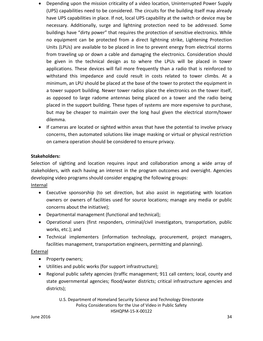- Depending upon the mission criticality of a video location, Uninterrupted Power Supply (UPS) capabilities need to be considered. The circuits for the building itself may already have UPS capabilities in place. If not, local UPS capability at the switch or device may be necessary. Additionally, surge and lightning protection need to be addressed. Some buildings have "dirty power" that requires the protection of sensitive electronics. While no equipment can be protected from a direct lightning strike, Lightening Protection Units (LPUs) are available to be placed in line to prevent energy from electrical storms from traveling up or down a cable and damaging the electronics. Consideration should be given in the technical design as to where the LPUs will be placed in tower applications. These devices will fail more frequently than a radio that is reinforced to withstand this impedance and could result in costs related to tower climbs. At a minimum, an LPU should be placed at the base of the tower to protect the equipment in a tower support building. Newer tower radios place the electronics on the tower itself, as opposed to large radome antennas being placed on a tower and the radio being placed in the support building. These types of systems are more expensive to purchase, but may be cheaper to maintain over the long haul given the electrical storm/tower dilemma.
- If cameras are located or sighted within areas that have the potential to involve privacy concerns, then automated solutions like image masking or virtual or physical restriction on camera operation should be considered to ensure privacy.

#### **Stakeholders:**

Selection of sighting and location requires input and collaboration among a wide array of stakeholders, with each having an interest in the program outcomes and oversight. Agencies developing video programs should consider engaging the following groups:

Internal

- Executive sponsorship (to set direction, but also assist in negotiating with location owners or owners of facilities used for source locations; manage any media or public concerns about the initiative);
- Departmental management (functional and technical);
- Operational users (first responders, criminal/civil investigators, transportation, public works, etc.); and
- Technical implementers (information technology, procurement, project managers, facilities management, transportation engineers, permitting and planning).

#### External

- Property owners;
- Utilities and public works (for support infrastructure);
- Regional public safety agencies (traffic management; 911 call centers; local, county and state governmental agencies; flood/water districts; critical infrastructure agencies and districts);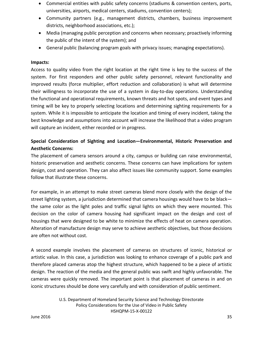- Commercial entities with public safety concerns (stadiums & convention centers, ports, universities, airports, medical centers, stadiums, convention centers);
- Community partners (e.g., management districts, chambers, business improvement districts, neighborhood associations, etc.);
- Media (managing public perception and concerns when necessary; proactively informing the public of the intent of the system); and
- General public (balancing program goals with privacy issues; managing expectations).

#### **Impacts:**

Access to quality video from the right location at the right time is key to the success of the system. For first responders and other public safety personnel, relevant functionality and improved results (force multiplier, effort reduction and collaboration) is what will determine their willingness to incorporate the use of a system in day-to-day operations. Understanding the functional and operational requirements, known threats and hot spots, and event types and timing will be key to properly selecting locations and determining sighting requirements for a system. While it is impossible to anticipate the location and timing of every incident, taking the best knowledge and assumptions into account will increase the likelihood that a video program will capture an incident, either recorded or in progress.

### **Special Consideration of Sighting and Location—Environmental, Historic Preservation and Aesthetic Concerns:**

The placement of camera sensors around a city, campus or building can raise environmental, historic preservation and aesthetic concerns. These concerns can have implications for system design, cost and operation. They can also affect issues like community support. Some examples follow that illustrate these concerns.

For example, in an attempt to make street cameras blend more closely with the design of the street lighting system, a jurisdiction determined that camera housings would have to be black the same color as the light poles and traffic signal lights on which they were mounted. This decision on the color of camera housing had significant impact on the design and cost of housings that were designed to be white to minimize the effects of heat on camera operation. Alteration of manufacture design may serve to achieve aesthetic objectives, but those decisions are often not without cost.

A second example involves the placement of cameras on structures of iconic, historical or artistic value. In this case, a jurisdiction was looking to enhance coverage of a public park and therefore placed cameras atop the highest structure, which happened to be a piece of artistic design. The reaction of the media and the general public was swift and highly unfavorable. The cameras were quickly removed. The important point is that placement of cameras in and on iconic structures should be done very carefully and with consideration of public sentiment.

U.S. Department of Homeland Security Science and Technology Directorate Policy Considerations for the Use of Video in Public Safety HSHQPM-15-X-00122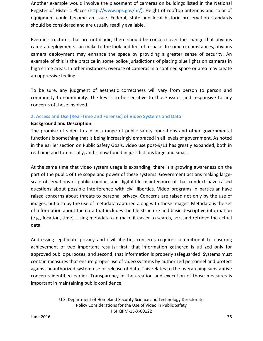Another example would involve the placement of cameras on buildings listed in the National Register of Historic Places [\(http://www.nps.gov/nr/\)](http://www.nps.gov/nr/). Height of rooftop antennas and color of equipment could become an issue. Federal, state and local historic preservation standards should be considered and are usually readily available.

Even in structures that are not iconic, there should be concern over the change that obvious camera deployments can make to the look and feel of a space. In some circumstances, obvious camera deployment may enhance the space by providing a greater sense of security. An example of this is the practice in some police jurisdictions of placing blue lights on cameras in high crime areas. In other instances, overuse of cameras in a confined space or area may create an oppressive feeling.

To be sure, any judgment of aesthetic correctness will vary from person to person and community to community. The key is to be sensitive to those issues and responsive to any concerns of those involved.

#### **2. Access and Use (Real-Time and Forensic) of Video Systems and Data**

#### **Background and Description:**

The promise of video to aid in a range of public safety operations and other governmental functions is something that is being increasingly embraced in all levels of government. As noted in the earlier section on Public Safety Goals, video use post-9/11 has greatly expanded, both in real time and forensically, and is now found in jurisdictions large and small.

At the same time that video system usage is expanding, there is a growing awareness on the part of the public of the scope and power of these systems. Government actions making largescale observations of public conduct and digital file maintenance of that conduct have raised questions about possible interference with civil liberties. Video programs in particular have raised concerns about threats to personal privacy. Concerns are raised not only by the use of images, but also by the use of metadata captured along with those images. Metadata is the set of information about the data that includes the file structure and basic descriptive information (e.g., location, time). Using metadata can make it easier to search, sort and retrieve the actual data.

Addressing legitimate privacy and civil liberties concerns requires commitment to ensuring achievement of two important results: first, that information gathered is utilized only for approved public purposes; and second, that information is properly safeguarded. Systems must contain measures that ensure proper use of video systems by authorized personnel and protect against unauthorized system use or release of data. This relates to the overarching substantive concerns identified earlier. Transparency in the creation and execution of those measures is important in maintaining public confidence.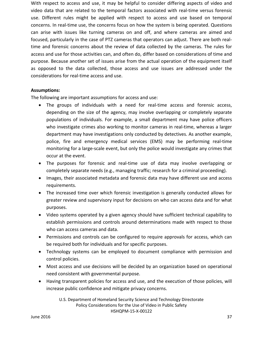With respect to access and use, it may be helpful to consider differing aspects of video and video data that are related to the temporal factors associated with real-time versus forensic use. Different rules might be applied with respect to access and use based on temporal concerns. In real-time use, the concerns focus on how the system is being operated. Questions can arise with issues like turning cameras on and off, and where cameras are aimed and focused, particularly in the case of PTZ cameras that operators can adjust. There are both realtime and forensic concerns about the review of data collected by the cameras. The rules for access and use for those activities can, and often do, differ based on considerations of time and purpose. Because another set of issues arise from the actual operation of the equipment itself as opposed to the data collected, those access and use issues are addressed under the considerations for real-time access and use.

#### **Assumptions:**

The following are important assumptions for access and use:

- The groups of individuals with a need for real-time access and forensic access, depending on the size of the agency, may involve overlapping or completely separate populations of individuals. For example, a small department may have police officers who investigate crimes also working to monitor cameras in real-time, whereas a larger department may have investigations only conducted by detectives. As another example, police, fire and emergency medical services (EMS) may be performing real-time monitoring for a large-scale event, but only the police would investigate any crimes that occur at the event.
- The purposes for forensic and real-time use of data may involve overlapping or completely separate needs (e.g., managing traffic; research for a criminal proceeding).
- Images, their associated metadata and forensic data may have different use and access requirements.
- The increased time over which forensic investigation is generally conducted allows for greater review and supervisory input for decisions on who can access data and for what purposes.
- Video systems operated by a given agency should have sufficient technical capability to establish permissions and controls around determinations made with respect to those who can access cameras and data.
- Permissions and controls can be configured to require approvals for access, which can be required both for individuals and for specific purposes.
- Technology systems can be employed to document compliance with permission and control policies.
- Most access and use decisions will be decided by an organization based on operational need consistent with governmental purpose.
- Having transparent policies for access and use, and the execution of those policies, will increase public confidence and mitigate privacy concerns.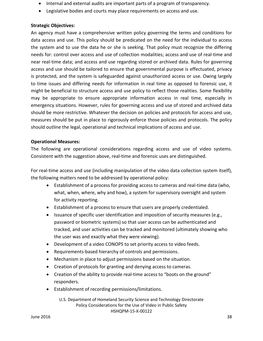- Internal and external audits are important parts of a program of transparency.
- Legislative bodies and courts may place requirements on access and use.

### **Strategic Objectives:**

An agency must have a comprehensive written policy governing the terms and conditions for data access and use. This policy should be predicated on the need for the individual to access the system and to use the data he or she is seeking. That policy must recognize the differing needs for: control over access and use of collection modalities; access and use of real-time and near real-time data; and access and use regarding stored or archived data. Rules for governing access and use should be tailored to ensure that governmental purpose is effectuated, privacy is protected, and the system is safeguarded against unauthorized access or use. Owing largely to time issues and differing needs for information in real time as opposed to forensic use, it might be beneficial to structure access and use policy to reflect those realities. Some flexibility may be appropriate to ensure appropriate information access in real time, especially in emergency situations. However, rules for governing access and use of stored and archived data should be more restrictive. Whatever the decision on policies and protocols for access and use, measures should be put in place to rigorously enforce those policies and protocols. The policy should outline the legal, operational and technical implications of access and use.

#### **Operational Measures:**

The following are operational considerations regarding access and use of video systems. Consistent with the suggestion above, real-time and forensic uses are distinguished.

For real-time access and use (including manipulation of the video data collection system itself), the following matters need to be addressed by operational policy:

- Establishment of a process for providing access to cameras and real-time data (who, what, when, where, why and how), a system for supervisory oversight and system for activity reporting.
- Establishment of a process to ensure that users are properly credentialed.
- Issuance of specific user identification and imposition of security measures (e.g., password or biometric systems) so that user access can be authenticated and tracked, and user activities can be tracked and monitored (ultimately showing who the user was and exactly what they were viewing).
- Development of a video CONOPS to set priority access to video feeds.
- Requirements-based hierarchy of controls and permissions.
- Mechanism in place to adjust permissions based on the situation.
- Creation of protocols for granting and denying access to cameras.
- Creation of the ability to provide real-time access to "boots on the ground" responders.
- Establishment of recording permissions/limitations.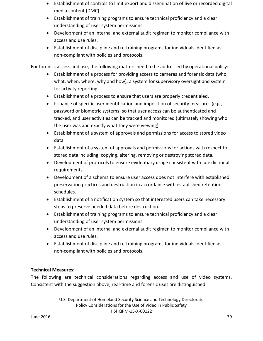- Establishment of controls to limit export and dissemination of live or recorded digital media content (DMC).
- Establishment of training programs to ensure technical proficiency and a clear understanding of user system permissions.
- Development of an internal and external audit regimen to monitor compliance with access and use rules.
- Establishment of discipline and re-training programs for individuals identified as non-compliant with policies and protocols.

For forensic access and use, the following matters need to be addressed by operational policy:

- Establishment of a process for providing access to cameras and forensic data (who, what, when, where, why and how), a system for supervisory oversight and system for activity reporting.
- Establishment of a process to ensure that users are properly credentialed.
- Issuance of specific user identification and imposition of security measures (e.g., password or biometric systems) so that user access can be authenticated and tracked, and user activities can be tracked and monitored (ultimately showing who the user was and exactly what they were viewing).
- Establishment of a system of approvals and permissions for access to stored video data.
- Establishment of a system of approvals and permissions for actions with respect to stored data including: copying, altering, removing or destroying stored data.
- Development of protocols to ensure evidentiary usage consistent with jurisdictional requirements.
- Development of a schema to ensure user access does not interfere with established preservation practices and destruction in accordance with established retention schedules.
- Establishment of a notification system so that interested users can take necessary steps to preserve needed data before destruction.
- Establishment of training programs to ensure technical proficiency and a clear understanding of user system permissions.
- Development of an internal and external audit regimen to monitor compliance with access and use rules.
- Establishment of discipline and re-training programs for individuals identified as non-compliant with policies and protocols.

# **Technical Measures:**

The following are technical considerations regarding access and use of video systems. Consistent with the suggestion above, real-time and forensic uses are distinguished.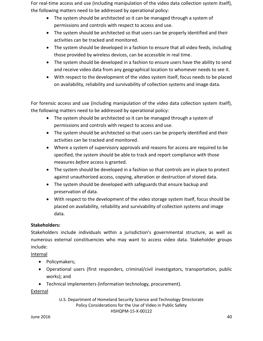For real-time access and use (including manipulation of the video data collection system itself), the following matters need to be addressed by operational policy:

- The system should be architected so it can be managed through a system of permissions and controls with respect to access and use.
- The system should be architected so that users can be properly identified and their activities can be tracked and monitored.
- The system should be developed in a fashion to ensure that all video feeds, including those provided by wireless devices, can be accessible in real time.
- The system should be developed in a fashion to ensure users have the ability to send and receive video data from any geographical location to whomever needs to see it.
- With respect to the development of the video system itself, focus needs to be placed on availability, reliability and survivability of collection systems and image data.

For forensic access and use (including manipulation of the video data collection system itself), the following matters need to be addressed by operational policy:

- The system should be architected so it can be managed through a system of permissions and controls with respect to access and use.
- The system should be architected so that users can be properly identified and their activities can be tracked and monitored.
- Where a system of supervisory approvals and reasons for access are required to be specified, the system should be able to track and report compliance with those measures *before* access is granted.
- The system should be developed in a fashion so that controls are in place to protect against unauthorized access, copying, alteration or destruction of stored data.
- The system should be developed with safeguards that ensure backup and preservation of data.
- With respect to the development of the video storage system itself, focus should be placed on availability, reliability and survivability of collection systems and image data.

# **Stakeholders:**

Stakeholders include individuals within a jurisdiction's governmental structure, as well as numerous external constituencies who may want to access video data. Stakeholder groups include:

Internal

- Policymakers;
- Operational users (first responders, criminal/civil investigators, transportation, public works); and
- Technical implementers (information technology, procurement).

External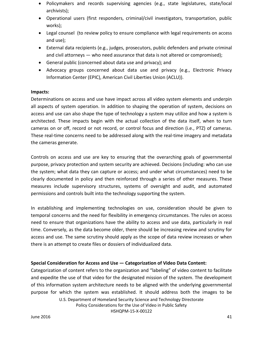- Policymakers and records supervising agencies (e.g., state legislatures, state/local archivists);
- Operational users (first responders, criminal/civil investigators, transportation, public works);
- Legal counsel (to review policy to ensure compliance with legal requirements on access and use);
- External data recipients (e.g., judges, prosecutors, public defenders and private criminal and civil attorneys — who need assurance that data is not altered or compromised);
- General public (concerned about data use and privacy); and
- Advocacy groups concerned about data use and privacy (e.g., Electronic Privacy Information Center (EPIC), American Civil Liberties Union (ACLU)).

#### **Impacts:**

Determinations on access and use have impact across all video system elements and underpin all aspects of system operation. In addition to shaping the operation of system, decisions on access and use can also shape the type of technology a system may utilize and how a system is architected. These impacts begin with the actual collection of the data itself, when to turn cameras on or off, record or not record, or control focus and direction (i.e., PTZ) of cameras. These real-time concerns need to be addressed along with the real-time imagery and metadata the cameras generate.

Controls on access and use are key to ensuring that the overarching goals of governmental purpose, privacy protection and system security are achieved. Decisions (including: who can use the system; what data they can capture or access; and under what circumstances) need to be clearly documented in policy and then reinforced through a series of other measures. These measures include supervisory structures, systems of oversight and audit, and automated permissions and controls built into the technology supporting the system.

In establishing and implementing technologies on use, consideration should be given to temporal concerns and the need for flexibility in emergency circumstances. The rules on access need to ensure that organizations have the ability to access and use data, particularly in real time. Conversely, as the data become older, there should be increasing review and scrutiny for access and use. The same scrutiny should apply as the scope of data review increases or when there is an attempt to create files or dossiers of individualized data.

# **Special Consideration for Access and Use — Categorization of Video Data Content:**

Categorization of content refers to the organization and "labeling" of video content to facilitate and expedite the use of that video for the designated mission of the system. The development of this information system architecture needs to be aligned with the underlying governmental purpose for which the system was established. It should address both the images to be

U.S. Department of Homeland Security Science and Technology Directorate Policy Considerations for the Use of Video in Public Safety

HSHQPM-15-X-00122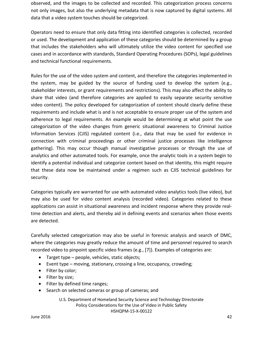observed, and the images to be collected and recorded. This categorization process concerns not only images, but also the underlying metadata that is now captured by digital systems. All data that a video system touches should be categorized.

Operators need to ensure that only data fitting into identified categories is collected, recorded or used. The development and application of these categories should be determined by a group that includes the stakeholders who will ultimately utilize the video content for specified use cases and in accordance with standards, Standard Operating Procedures (SOPs), legal guidelines and technical functional requirements.

Rules for the use of the video system and content, and therefore the categories implemented in the system, may be guided by the source of funding used to develop the system (e.g., stakeholder interests, or grant requirements and restrictions). This may also affect the ability to share that video (and therefore categories are applied to easily separate security sensitive video content). The policy developed for categorization of content should clearly define these requirements and include what is and is not acceptable to ensure proper use of the system and adherence to legal requirements. An example would be determining at what point the use categorization of the video changes from generic situational awareness to Criminal Justice Information Services (CJIS) regulated content (i.e., data that may be used for evidence in connection with criminal proceedings or other criminal justice processes like intelligence gathering). This may occur though manual investigative processes or through the use of analytics and other automated tools. For example, once the analytic tools in a system begin to identify a potential individual and categorize content based on that identity, this might require that these data now be maintained under a regimen such as CJIS technical guidelines for security.

Categories typically are warranted for use with automated video analytics tools (live video), but may also be used for video content analysis (recorded video). Categories related to these applications can assist in situational awareness and incident response where they provide realtime detection and alerts, and thereby aid in defining events and scenarios when those events are detected.

Carefully selected categorization may also be useful in forensic analysis and search of DMC, where the categories may greatly reduce the amount of time and personnel required to search recorded video to pinpoint specific video frames (e.g., [7]). Examples of categories are:

- Target type people, vehicles, static objects;
- Event type moving, stationary, crossing a line, occupancy, crowding;
- Filter by color;
- Filter by size;
- Filter by defined time ranges;
- Search on selected cameras or group of cameras; and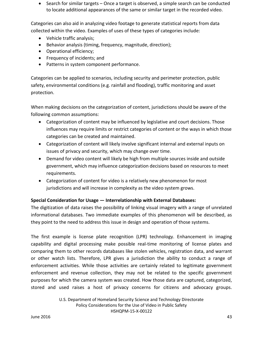• Search for similar targets – Once a target is observed, a simple search can be conducted to locate additional appearances of the same or similar target in the recorded video.

Categories can also aid in analyzing video footage to generate statistical reports from data collected within the video. Examples of uses of these types of categories include:

- Vehicle traffic analysis;
- Behavior analysis (timing, frequency, magnitude, direction);
- Operational efficiency;
- Frequency of incidents; and
- Patterns in system component performance.

Categories can be applied to scenarios, including security and perimeter protection, public safety, environmental conditions (e.g. rainfall and flooding), traffic monitoring and asset protection.

When making decisions on the categorization of content, jurisdictions should be aware of the following common assumptions:

- Categorization of content may be influenced by legislative and court decisions. Those influences may require limits or restrict categories of content or the ways in which those categories can be created and maintained.
- Categorization of content will likely involve significant internal and external inputs on issues of privacy and security, which may change over time.
- Demand for video content will likely be high from multiple sources inside and outside government, which may influence categorization decisions based on resources to meet requirements.
- Categorization of content for video is a relatively new phenomenon for most jurisdictions and will increase in complexity as the video system grows.

# **Special Consideration for Usage — Interrelationship with External Databases:**

The digitization of data raises the possibility of linking visual imagery with a range of unrelated informational databases. Two immediate examples of this phenomenon will be described, as they point to the need to address this issue in design and operation of those systems.

The first example is license plate recognition (LPR) technology. Enhancement in imaging capability and digital processing make possible real-time monitoring of license plates and comparing them to other records databases like stolen vehicles, registration data, and warrant or other watch lists. Therefore, LPR gives a jurisdiction the ability to conduct a range of enforcement activities. While those activities are certainly related to legitimate government enforcement and revenue collection, they may not be related to the specific government purposes for which the camera system was created. How those data are captured, categorized, stored and used raises a host of privacy concerns for citizens and advocacy groups.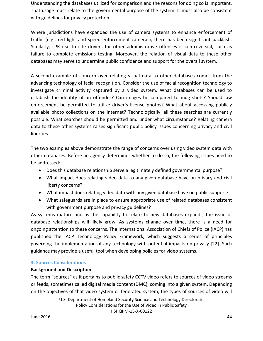Understanding the databases utilized for comparison and the reasons for doing so is important. That usage must relate to the governmental purpose of the system. It must also be consistent with guidelines for privacy protection.

Where jurisdictions have expanded the use of camera systems to enhance enforcement of traffic (e.g., red light and speed enforcement cameras), there has been significant backlash. Similarly, LPR use to cite drivers for other administrative offenses is controversial, such as failure to complete emissions testing. Moreover, the relation of visual data to these other databases may serve to undermine public confidence and support for the overall system.

A second example of concern over relating visual data to other databases comes from the advancing technology of facial recognition. Consider the use of facial recognition technology to investigate criminal activity captured by a video system. What databases can be used to establish the identity of an offender? Can images be compared to mug shots? Should law enforcement be permitted to utilize driver's license photos? What about accessing publicly available photo collections on the Internet? Technologically, all these searches are currently possible. What searches should be permitted and under what circumstance? Relating camera data to these other systems raises significant public policy issues concerning privacy and civil liberties.

The two examples above demonstrate the range of concerns over using video system data with other databases. Before an agency determines whether to do so, the following issues need to be addressed:

- Does this database relationship serve a legitimately defined governmental purpose?
- What impact does relating video data to any given database have on privacy and civil liberty concerns?
- What impact does relating video data with any given database have on public support?
- What safeguards are in place to ensure appropriate use of related databases consistent with government purpose and privacy guidelines?

As systems mature and as the capability to relate to new databases expands, the issue of database relationships will likely grow. As systems change over time, there is a need for ongoing attention to these concerns. The International Association of Chiefs of Police (IACP) has published the IACP Technology Policy Framework, which suggests a series of principles governing the implementation of any technology with potential impacts on privacy [22]. Such guidance may provide a useful tool when developing policies for video systems.

# **3. Sources Considerations**

# **Background and Description:**

The term "sources" as it pertains to public safety CCTV video refers to sources of video streams or feeds, sometimes called digital media content (DMC), coming into a given system. Depending on the objectives of that video system or federated system, the types of sources of video will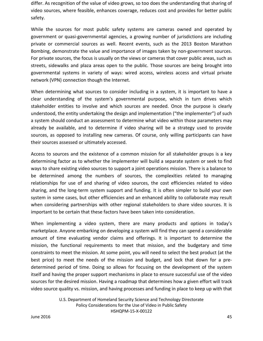differ. As recognition of the value of video grows, so too does the understanding that sharing of video sources, where feasible, enhances coverage, reduces cost and provides for better public safety.

While the sources for most public safety systems are cameras owned and operated by government or quasi-governmental agencies, a growing number of jurisdictions are including private or commercial sources as well. Recent events, such as the 2013 Boston Marathon Bombing, demonstrate the value and importance of images taken by non-government sources. For private sources, the focus is usually on the views or cameras that cover public areas, such as streets, sidewalks and plaza areas open to the public. Those sources are being brought into governmental systems in variety of ways: wired access, wireless access and virtual private network (VPN) connection though the Internet.

When determining what sources to consider including in a system, it is important to have a clear understanding of the system's governmental purpose, which in turn drives which stakeholder entities to involve and which sources are needed. Once the purpose is clearly understood, the entity undertaking the design and implementation ("the implementer") of such a system should conduct an assessment to determine what video within those parameters may already be available, and to determine if video sharing will be a strategy used to provide sources, as opposed to installing new cameras. Of course, only willing participants can have their sources assessed or ultimately accessed.

Access to sources and the existence of a common mission for all stakeholder groups is a key determining factor as to whether the implementer will build a separate system or seek to find ways to share existing video sources to support a joint operations mission. There is a balance to be determined among the numbers of sources, the complexities related to managing relationships for use of and sharing of video sources, the cost efficiencies related to video sharing, and the long-term system support and funding. It is often simpler to build your own system in some cases, but other efficiencies and an enhanced ability to collaborate may result when considering partnerships with other regional stakeholders to share video sources. It is important to be certain that these factors have been taken into consideration.

When implementing a video system, there are many products and options in today's marketplace. Anyone embarking on developing a system will find they can spend a considerable amount of time evaluating vendor claims and offerings. It is important to determine the mission, the functional requirements to meet that mission, and the budgetary and time constraints to meet the mission. At some point, you will need to select the best product (at the best price) to meet the needs of the mission and budget, and lock that down for a predetermined period of time. Doing so allows for focusing on the development of the system itself and having the proper support mechanisms in place to ensure successful use of the video sources for the desired mission. Having a roadmap that determines how a given effort will track video source quality vs. mission, and having processes and funding in place to keep up with that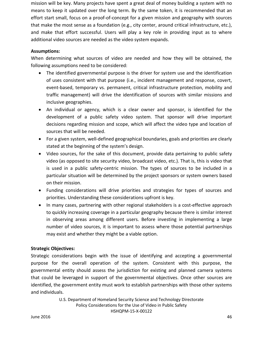mission will be key. Many projects have spent a great deal of money building a system with no means to keep it updated over the long term. By the same token, it is recommended that an effort start small, focus on a proof-of-concept for a given mission and geography with sources that make the most sense as a foundation (e.g., city center, around critical infrastructure, etc.), and make that effort successful. Users will play a key role in providing input as to where additional video sources are needed as the video system expands.

# **Assumptions:**

When determining what sources of video are needed and how they will be obtained, the following assumptions need to be considered:

- The identified governmental purpose is the driver for system use and the identification of uses consistent with that purpose (i.e., incident management and response, covert, event-based, temporary vs. permanent, critical infrastructure protection, mobility and traffic management) will drive the identification of sources with similar missions and inclusive geographies.
- An individual or agency, which is a clear owner and sponsor, is identified for the development of a public safety video system. That sponsor will drive important decisions regarding mission and scope, which will affect the video type and location of sources that will be needed.
- For a given system, well-defined geographical boundaries, goals and priorities are clearly stated at the beginning of the system's design.
- Video sources, for the sake of this document, provide data pertaining to public safety video (as opposed to site security video, broadcast video, etc.). That is, this is video that is used in a public safety-centric mission. The types of sources to be included in a particular situation will be determined by the project sponsors or system owners based on their mission.
- Funding considerations will drive priorities and strategies for types of sources and priorities. Understanding these considerations upfront is key.
- In many cases, partnering with other regional stakeholders is a cost-effective approach to quickly increasing coverage in a particular geography because there is similar interest in observing areas among different users. Before investing in implementing a large number of video sources, it is important to assess where those potential partnerships may exist and whether they might be a viable option.

# **Strategic Objectives:**

Strategic considerations begin with the issue of identifying and accepting a governmental purpose for the overall operation of the system. Consistent with this purpose, the governmental entity should assess the jurisdiction for existing and planned camera systems that could be leveraged in support of the governmental objectives. Once other sources are identified, the government entity must work to establish partnerships with those other systems and individuals.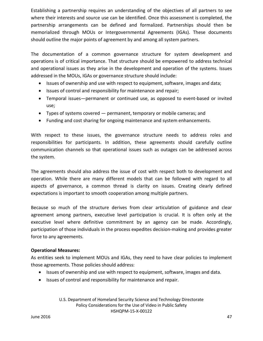Establishing a partnership requires an understanding of the objectives of all partners to see where their interests and source use can be identified. Once this assessment is completed, the partnership arrangements can be defined and formalized. Partnerships should then be memorialized through MOUs or Intergovernmental Agreements (IGAs). These documents should outline the major points of agreement by and among all system partners.

The documentation of a common governance structure for system development and operations is of critical importance. That structure should be empowered to address technical and operational issues as they arise in the development and operation of the systems. Issues addressed in the MOUs, IGAs or governance structure should include:

- Issues of ownership and use with respect to equipment, software, images and data;
- Issues of control and responsibility for maintenance and repair;
- Temporal issues—permanent or continued use, as opposed to event-based or invited use;
- Types of systems covered permanent, temporary or mobile cameras; and
- Funding and cost sharing for ongoing maintenance and system enhancements.

With respect to these issues, the governance structure needs to address roles and responsibilities for participants. In addition, these agreements should carefully outline communication channels so that operational issues such as outages can be addressed across the system.

The agreements should also address the issue of cost with respect both to development and operation. While there are many different models that can be followed with regard to all aspects of governance, a common thread is clarity on issues. Creating clearly defined expectations is important to smooth cooperation among multiple partners.

Because so much of the structure derives from clear articulation of guidance and clear agreement among partners, executive level participation is crucial. It is often only at the executive level where definitive commitment by an agency can be made. Accordingly, participation of those individuals in the process expedites decision-making and provides greater force to any agreements.

# **Operational Measures:**

As entities seek to implement MOUs and IGAs, they need to have clear policies to implement those agreements. Those policies should address:

- Issues of ownership and use with respect to equipment, software, images and data.
- Issues of control and responsibility for maintenance and repair.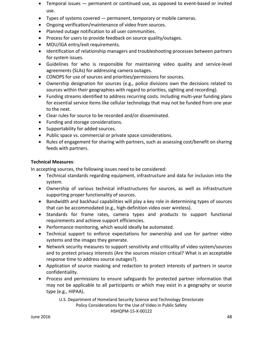- Temporal issues permanent or continued use, as opposed to event-based or invited use.
- Types of systems covered permanent, temporary or mobile cameras.
- Ongoing verification/maintenance of video from sources.
- Planned outage notification to all user communities.
- Process for users to provide feedback on source quality/outages.
- MOU/IGA entry/exit requirements.
- Identification of relationship managers and troubleshooting processes between partners for system issues.
- Guidelines for who is responsible for maintaining video quality and service-level agreements (SLAs) for addressing camera outages.
- CONOPS for use of sources and priorities/permissions for sources.
- Ownership designation for sources (e.g., police divisions own the decisions related to sources within their geographies with regard to priorities, sighting and recording).
- Funding streams identified to address recurring costs. Including multi-year funding plans for essential service items like cellular technology that may not be funded from one year to the next.
- Clear rules for source to be recorded and/or disseminated.
- Funding and storage considerations.
- Supportability for added sources.
- Public space vs. commercial or private space considerations.
- Rules of engagement for sharing with partners, such as assessing cost/benefit on sharing feeds with partners.

# **Technical Measures**:

In accepting sources, the following issues need to be considered:

- Technical standards regarding equipment, infrastructure and data for inclusion into the system.
- Ownership of various technical infrastructures for sources, as well as infrastructure supporting proper functionality of sources.
- Bandwidth and backhaul capabilities will play a key role in determining types of sources that can be accommodated (e.g., high-definition video over wireless).
- Standards for frame rates, camera types and products to support functional requirements and achieve support efficiencies.
- Performance monitoring, which would ideally be automated.
- Technical support to enforce expectations for ownership and use for partner video systems and the images they generate.
- Network security measures to support sensitivity and criticality of video system/sources and to protect privacy interests (Are the sources mission critical? What is an acceptable response time to address source outages?).
- Application of source masking and redaction to protect interests of partners in source confidentiality.
- Process and permissions to ensure safeguards for protected partner information that may not be applicable to all participants or which may exist in a geography or source type (e.g., HIPAA).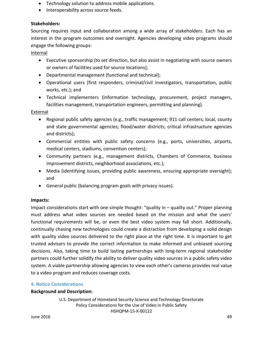- Technology solution to address mobile applications.
- Interoperability across source feeds.

### **Stakeholders:**

Sourcing requires input and collaboration among a wide array of stakeholders. Each has an interest in the program outcomes and oversight. Agencies developing video programs should engage the following groups:

### Internal

- Executive sponsorship (to set direction, but also assist in negotiating with source owners or owners of facilities used for source locations);
- Departmental management (functional and technical);
- Operational users (first responders, criminal/civil investigators, transportation, public works, etc.); and
- Technical implementers (information technology, procurement, project managers, facilities management, transportation engineers, permitting and planning).

#### External

- Regional public safety agencies (e.g., traffic management; 911 call centers; local, county and state governmental agencies; flood/water districts; critical infrastructure agencies and districts);
- Commercial entities with public safety concerns (e.g., ports, universities, airports, medical centers, stadiums, convention centers);
- Community partners (e.g., management districts, Chambers of Commerce, business improvement districts, neighborhood associations, etc.);
- Media (identifying issues, providing public awareness, ensuring appropriate oversight); and
- General public (balancing program goals with privacy issues).

#### **Impacts:**

Impact considerations start with one simple thought: "quality in – quality out." Proper planning must address what video sources are needed based on the mission and what the users' functional requirements will be, or even the best video system may fall short. Additionally, continually chasing new technologies could create a distraction from developing a solid design with quality video sources delivered to the right place at the right time. It is important to get trusted advisors to provide the correct information to make informed and unbiased sourcing decisions. Also, taking time to build lasting partnerships with long-term regional stakeholder partners could further solidify the ability to deliver quality video sources in a public safety video system. A viable partnership allowing agencies to view each other's cameras provides real value to a video program and reduces coverage costs.

#### **4. Notice Considerations**

#### **Background and Description:**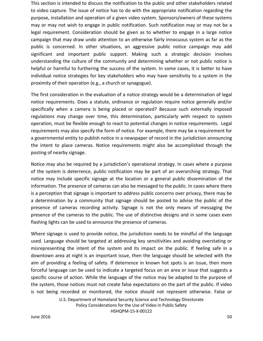This section is intended to discuss the notification to the public and other stakeholders related to video capture. The issue of notice has to do with the appropriate notification regarding the purpose, installation and operation of a given video system. Sponsors/owners of these systems may or may not wish to engage in public notification. Such notification may or may not be a legal requirement. Consideration should be given as to whether to engage in a large notice campaign that may draw undo attention to an otherwise fairly innocuous system as far as the public is concerned. In other situations, an aggressive public notice campaign may add significant and important public support. Making such a strategic decision involves understanding the culture of the community and determining whether or not public notice is helpful or harmful to furthering the success of the system. In some cases, it is better to have individual notice strategies for key stakeholders who may have sensitivity to a system in the proximity of their operation (e.g., a church or synagogue).

The first consideration in the evaluation of a notice strategy would be a determination of legal notice requirements. Does a statute, ordinance or regulation require notice generally and/or specifically when a camera is being placed or operated? Because such externally imposed regulations may change over time, this determination, particularly with respect to system operation, must be flexible enough to react to potential changes in notice requirements. Legal requirements may also specify the form of notice. For example, there may be a requirement for a governmental entity to publish notice in a newspaper of record in the jurisdiction announcing the intent to place cameras. Notice requirements might also be accomplished through the posting of nearby signage.

Notice may also be required by a jurisdiction's operational strategy. In cases where a purpose of the system is deterrence, public notification may be part of an overarching strategy. That notice may include specific signage at the location or a general public dissemination of the information. The presence of cameras can also be messaged to the public. In cases where there is a perception that signage is important to address public concerns over privacy, there may be a determination by a community that signage should be posted to advise the public of the presence of cameras recording activity. Signage is not the only means of messaging the presence of the cameras to the public. The use of distinctive designs and in some cases even flashing lights can be used to announce the presence of cameras.

Where signage is used to provide notice, the jurisdiction needs to be mindful of the language used. Language should be targeted at addressing key sensitivities and avoiding overstating or misrepresenting the intent of the system and its impact on the public. If feeling safe in a downtown area at night is an important issue, then the language should be selected with the aim of providing a feeling of safety. If deterrence in known hot spots is an issue, then more forceful language can be used to indicate a targeted focus on an area or issue that suggests a specific course of action. While the language of the notice may be adapted to the purpose of the system, those notices must not create false expectations on the part of the public. If video is not being recorded or monitored, the notice should not represent otherwise. False or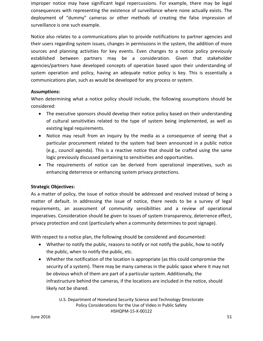improper notice may have significant legal repercussions. For example, there may be legal consequences with representing the existence of surveillance where none actually exists. The deployment of "dummy" cameras or other methods of creating the false impression of surveillance is one such example.

Notice also relates to a communications plan to provide notifications to partner agencies and their users regarding system issues, changes in permissions in the system, the addition of more sources and planning activities for key events. Even changes to a notice policy previously established between partners may be a consideration. Given that stakeholder agencies/partners have developed concepts of operation based upon their understanding of system operation and policy, having an adequate notice policy is key. This is essentially a communications plan, such as would be developed for any process or system.

### **Assumptions:**

When determining what a notice policy should include, the following assumptions should be considered:

- The executive sponsors should develop their notice policy based on their understanding of cultural sensitivities related to the type of system being implemented, as well as existing legal requirements.
- Notice may result from an inquiry by the media as a consequence of seeing that a particular procurement related to the system had been announced in a public notice (e.g., council agenda). This is a reactive notice that should be crafted using the same logic previously discussed pertaining to sensitivities and opportunities.
- The requirements of notice can be derived from operational imperatives, such as enhancing deterrence or enhancing system privacy protections.

# **Strategic Objectives:**

As a matter of policy, the issue of notice should be addressed and resolved instead of being a matter of default. In addressing the issue of notice, there needs to be a survey of legal requirements, an assessment of community sensibilities and a review of operational imperatives. Consideration should be given to issues of system transparency, deterrence effect, privacy protection and cost (particularly when a community determines to post signage).

With respect to a notice plan, the following should be considered and documented:

- Whether to notify the public, reasons to notify or not notify the public, how to notify the public, when to notify the public, etc.
- Whether the notification of the location is appropriate (as this could compromise the security of a system). There may be many cameras in the public space where it may not be obvious which of them are part of a particular system. Additionally, the infrastructure behind the cameras, if the locations are included in the notice, should likely not be shared.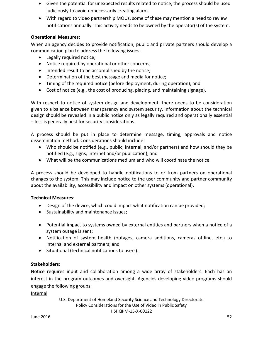- Given the potential for unexpected results related to notice, the process should be used judiciously to avoid unnecessarily creating alarm.
- With regard to video partnership MOUs, some of these may mention a need to review notifications annually. This activity needs to be owned by the operator(s) of the system.

# **Operational Measures:**

When an agency decides to provide notification, public and private partners should develop a communication plan to address the following issues:

- Legally required notice;
- Notice required by operational or other concerns;
- Intended result to be accomplished by the notice;
- Determination of the best message and media for notice;
- Timing of the required notice (before deployment, during operation); and
- Cost of notice (e.g., the cost of producing, placing, and maintaining signage).

With respect to notice of system design and development, there needs to be consideration given to a balance between transparency and system security. Information about the technical design should be revealed in a public notice only as legally required and operationally essential – less is generally best for security considerations.

A process should be put in place to determine message, timing, approvals and notice dissemination method. Considerations should include:

- Who should be notified (e.g., public, internal, and/or partners) and how should they be notified (e.g., signs, Internet and/or publication); and
- What will be the communications medium and who will coordinate the notice.

A process should be developed to handle notifications to or from partners on operational changes to the system. This may include notice to the user community and partner community about the availability, accessibility and impact on other systems (operational).

# **Technical Measures**:

- Design of the device, which could impact what notification can be provided;
- Sustainability and maintenance issues;
- Potential impact to systems owned by external entities and partners when a notice of a system outage is sent;
- Notification of system health (outages, camera additions, cameras offline, etc.) to internal and external partners; and
- Situational (technical notifications to users).

# **Stakeholders:**

Notice requires input and collaboration among a wide array of stakeholders. Each has an interest in the program outcomes and oversight. Agencies developing video programs should engage the following groups:

Internal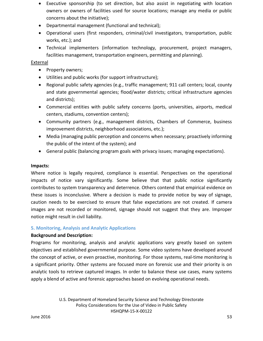- Executive sponsorship (to set direction, but also assist in negotiating with location owners or owners of facilities used for source locations; manage any media or public concerns about the initiative);
- Departmental management (functional and technical);
- Operational users (first responders, criminal/civil investigators, transportation, public works, etc.); and
- Technical implementers (information technology, procurement, project managers, facilities management, transportation engineers, permitting and planning).

### External

- Property owners;
- Utilities and public works (for support infrastructure);
- Regional public safety agencies (e.g., traffic management; 911 call centers; local, county and state governmental agencies; flood/water districts; critical infrastructure agencies and districts);
- Commercial entities with public safety concerns (ports, universities, airports, medical centers, stadiums, convention centers);
- Community partners (e.g., management districts, Chambers of Commerce, business improvement districts, neighborhood associations, etc.);
- Media (managing public perception and concerns when necessary; proactively informing the public of the intent of the system); and
- General public (balancing program goals with privacy issues; managing expectations).

#### **Impacts:**

Where notice is legally required, compliance is essential. Perspectives on the operational impacts of notice vary significantly. Some believe that that public notice significantly contributes to system transparency and deterrence. Others contend that empirical evidence on these issues is inconclusive. Where a decision is made to provide notice by way of signage, caution needs to be exercised to ensure that false expectations are not created. If camera images are not recorded or monitored, signage should not suggest that they are. Improper notice might result in civil liability.

#### **5. Monitoring, Analysis and Analytic Applications**

#### **Background and Description:**

Programs for monitoring, analysis and analytic applications vary greatly based on system objectives and established governmental purpose. Some video systems have developed around the concept of active, or even proactive, monitoring. For those systems, real-time monitoring is a significant priority. Other systems are focused more on forensic use and their priority is on analytic tools to retrieve captured images. In order to balance these use cases, many systems apply a blend of active and forensic approaches based on evolving operational needs.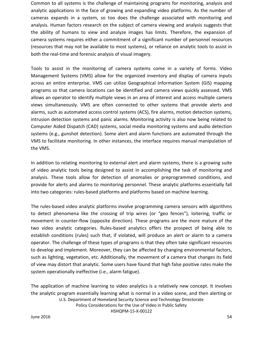Common to all systems is the challenge of maintaining programs for monitoring, analysis and analytic applications in the face of growing and expanding video platforms. As the number of cameras expands in a system, so too does the challenge associated with monitoring and analysis. Human factors research on the subject of camera viewing and analysis suggests that the ability of humans to view and analyze images has limits. Therefore, the expansion of camera systems requires either a commitment of a significant number of personnel resources (resources that may not be available to most systems), or reliance on analytic tools to assist in both the real-time and forensic analysis of visual imagery.

Tools to assist in the monitoring of camera systems come in a variety of forms. Video Management Systems (VMS) allow for the organized inventory and display of camera inputs across an entire enterprise. VMS can utilize Geographical Information System (GIS) mapping programs so that camera locations can be identified and camera views quickly assessed. VMS allows an operator to identify multiple views in an area of interest and access multiple camera views simultaneously. VMS are often connected to other systems that provide alerts and alarms, such as automated access control systems (ACS), fire alarms, motion detection systems, intrusion detection systems and panic alarms. Monitoring activity is also now being related to Computer Aided Dispatch (CAD) systems, social media monitoring systems and audio detection systems (e.g., gunshot detection). Some alert and alarm functions are automated through the VMS to facilitate monitoring. In other instances, the interface requires manual manipulation of the VMS.

In addition to relating monitoring to external alert and alarm systems, there is a growing suite of video analytic tools being designed to assist in accomplishing the task of monitoring and analysis. These tools allow for detection of anomalies or preprogrammed conditions, and provide for alerts and alarms to monitoring personnel. These analytic platforms essentially fall into two categories: rules-based platforms and platforms based on machine learning.

The rules-based video analytic platforms involve programming camera sensors with algorithms to detect phenomena like the crossing of trip wires (or "geo fences"), loitering, traffic or movement in counter-flow (opposite direction). These programs are the more mature of the two video analytic categories. Rules-based analytics offers the prospect of being able to establish conditions (rules) such that, if violated, will produce an alert or alarm to a camera operator. The challenge of these types of programs is that they often take significant resources to develop and implement. Moreover, they can be affected by changing environmental factors, such as lighting, vegetation, etc. Additionally, the movement of a camera that changes its field of view may distort that analytic. Some users have found that high false positive rates make the system operationally ineffective (i.e., alarm fatigue).

U.S. Department of Homeland Security Science and Technology Directorate Policy Considerations for the Use of Video in Public Safety HSHQPM-15-X-00122 The application of machine learning to video analytics is a relatively new concept. It involves the analytic program essentially learning what is normal in a video scene, and then alerting or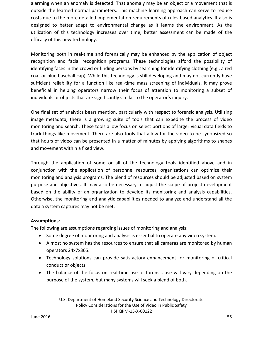alarming when an anomaly is detected. That anomaly may be an object or a movement that is outside the learned normal parameters. This machine learning approach can serve to reduce costs due to the more detailed implementation requirements of rules-based analytics. It also is designed to better adapt to environmental change as it learns the environment. As the utilization of this technology increases over time, better assessment can be made of the efficacy of this new technology.

Monitoring both in real-time and forensically may be enhanced by the application of object recognition and facial recognition programs. These technologies afford the possibility of identifying faces in the crowd or finding persons by searching for identifying clothing (e.g., a red coat or blue baseball cap). While this technology is still developing and may not currently have sufficient reliability for a function like real-time mass screening of individuals, it may prove beneficial in helping operators narrow their focus of attention to monitoring a subset of individuals or objects that are significantly similar to the operator's inquiry.

One final set of analytics bears mention, particularly with respect to forensic analysis. Utilizing image metadata, there is a growing suite of tools that can expedite the process of video monitoring and search. These tools allow focus on select portions of larger visual data fields to track things like movement. There are also tools that allow for the video to be synopsized so that hours of video can be presented in a matter of minutes by applying algorithms to shapes and movement within a fixed view.

Through the application of some or all of the technology tools identified above and in conjunction with the application of personnel resources, organizations can optimize their monitoring and analysis programs. The blend of resources should be adjusted based on system purpose and objectives. It may also be necessary to adjust the scope of project development based on the ability of an organization to develop its monitoring and analysis capabilities. Otherwise, the monitoring and analytic capabilities needed to analyze and understand all the data a system captures may not be met.

# **Assumptions:**

The following are assumptions regarding issues of monitoring and analysis:

- Some degree of monitoring and analysis is essential to operate any video system.
- Almost no system has the resources to ensure that all cameras are monitored by human operators 24x7x365.
- Technology solutions can provide satisfactory enhancement for monitoring of critical conduct or objects.
- The balance of the focus on real-time use or forensic use will vary depending on the purpose of the system, but many systems will seek a blend of both.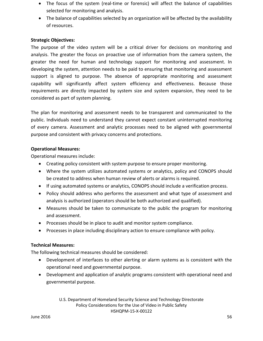- The focus of the system (real-time or forensic) will affect the balance of capabilities selected for monitoring and analysis.
- The balance of capabilities selected by an organization will be affected by the availability of resources.

# **Strategic Objectives:**

The purpose of the video system will be a critical driver for decisions on monitoring and analysis. The greater the focus on proactive use of information from the camera system, the greater the need for human and technology support for monitoring and assessment. In developing the system, attention needs to be paid to ensuring that monitoring and assessment support is aligned to purpose. The absence of appropriate monitoring and assessment capability will significantly affect system efficiency and effectiveness. Because those requirements are directly impacted by system size and system expansion, they need to be considered as part of system planning.

The plan for monitoring and assessment needs to be transparent and communicated to the public. Individuals need to understand they cannot expect constant uninterrupted monitoring of every camera. Assessment and analytic processes need to be aligned with governmental purpose and consistent with privacy concerns and protections.

# **Operational Measures:**

Operational measures include:

- Creating policy consistent with system purpose to ensure proper monitoring.
- Where the system utilizes automated systems or analytics, policy and CONOPS should be created to address when human review of alerts or alarms is required.
- If using automated systems or analytics, CONOPS should include a verification process.
- Policy should address who performs the assessment and what type of assessment and analysis is authorized (operators should be both authorized and qualified).
- Measures should be taken to communicate to the public the program for monitoring and assessment.
- Processes should be in place to audit and monitor system compliance.
- Processes in place including disciplinary action to ensure compliance with policy.

# **Technical Measures:**

The following technical measures should be considered:

- Development of interfaces to other alerting or alarm systems as is consistent with the operational need and governmental purpose.
- Development and application of analytic programs consistent with operational need and governmental purpose.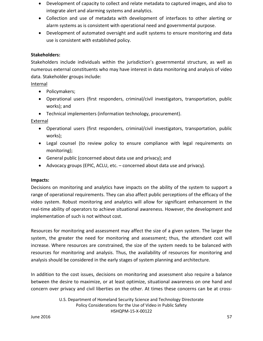- Development of capacity to collect and relate metadata to captured images, and also to integrate alert and alarming systems and analytics.
- Collection and use of metadata with development of interfaces to other alerting or alarm systems as is consistent with operational need and governmental purpose.
- Development of automated oversight and audit systems to ensure monitoring and data use is consistent with established policy.

# **Stakeholders:**

Stakeholders include individuals within the jurisdiction's governmental structure, as well as numerous external constituents who may have interest in data monitoring and analysis of video data. Stakeholder groups include:

### **Internal**

- Policymakers;
- Operational users (first responders, criminal/civil investigators, transportation, public works); and
- Technical implementers (information technology, procurement).

### External

- Operational users (first responders, criminal/civil investigators, transportation, public works);
- Legal counsel (to review policy to ensure compliance with legal requirements on monitoring);
- General public (concerned about data use and privacy); and
- Advocacy groups (EPIC, ACLU, etc. concerned about data use and privacy).

#### **Impacts:**

Decisions on monitoring and analytics have impacts on the ability of the system to support a range of operational requirements. They can also affect public perceptions of the efficacy of the video system. Robust monitoring and analytics will allow for significant enhancement in the real-time ability of operators to achieve situational awareness. However, the development and implementation of such is not without cost.

Resources for monitoring and assessment may affect the size of a given system. The larger the system, the greater the need for monitoring and assessment; thus, the attendant cost will increase. Where resources are constrained, the size of the system needs to be balanced with resources for monitoring and analysis. Thus, the availability of resources for monitoring and analysis should be considered in the early stages of system planning and architecture.

In addition to the cost issues, decisions on monitoring and assessment also require a balance between the desire to maximize, or at least optimize, situational awareness on one hand and concern over privacy and civil liberties on the other. At times these concerns can be at cross-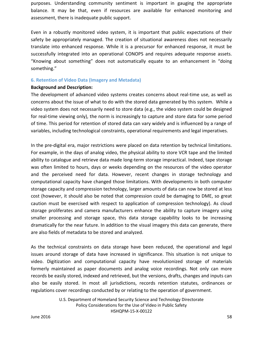purposes. Understanding community sentiment is important in gauging the appropriate balance. It may be that, even if resources are available for enhanced monitoring and assessment, there is inadequate public support.

Even in a robustly monitored video system, it is important that public expectations of their safety be appropriately managed. The creation of situational awareness does not necessarily translate into enhanced response. While it is a precursor for enhanced response, it must be successfully integrated into an operational CONOPS and requires adequate response assets. "Knowing about something" does not automatically equate to an enhancement in "doing something."

#### **6. Retention of Video Data (Imagery and Metadata)**

#### **Background and Description:**

The development of advanced video systems creates concerns about real-time use, as well as concerns about the issue of what to do with the stored data generated by this system. While a video system does not necessarily need to store data (e.g., the video system could be designed for real-time viewing only), the norm is increasingly to capture and store data for some period of time. This period for retention of stored data can vary widely and is influenced by a range of variables, including technological constraints, operational requirements and legal imperatives.

In the pre-digital era, major restrictions were placed on data retention by technical limitations. For example, in the days of analog video, the physical ability to store VCR tape and the limited ability to catalogue and retrieve data made long-term storage impractical. Indeed, tape storage was often limited to hours, days or weeks depending on the resources of the video operator and the perceived need for data. However, recent changes in storage technology and computational capacity have changed those limitations. With developments in both computer storage capacity and compression technology, larger amounts of data can now be stored at less cost (however, it should also be noted that compression could be damaging to DME, so great caution must be exercised with respect to application of compression technology). As cloud storage proliferates and camera manufacturers enhance the ability to capture imagery using smaller processing and storage space, this data storage capability looks to be increasing dramatically for the near future. In addition to the visual imagery this data can generate, there are also fields of metadata to be stored and analyzed.

As the technical constraints on data storage have been reduced, the operational and legal issues around storage of data have increased in significance. This situation is not unique to video. Digitization and computational capacity have revolutionized storage of materials formerly maintained as paper documents and analog voice recordings. Not only can more records be easily stored, indexed and retrieved, but the versions, drafts, changes and inputs can also be easily stored. In most all jurisdictions, records retention statutes, ordinances or regulations cover recordings conducted by or relating to the operation of government.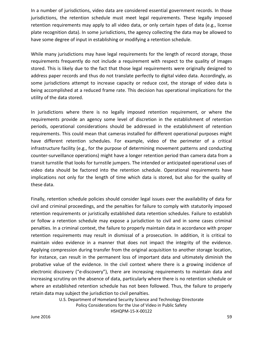In a number of jurisdictions, video data are considered essential government records. In those jurisdictions, the retention schedule must meet legal requirements. These legally imposed retention requirements may apply to all video data, or only certain types of data (e.g., license plate recognition data). In some jurisdictions, the agency collecting the data may be allowed to have some degree of input in establishing or modifying a retention schedule.

While many jurisdictions may have legal requirements for the length of record storage, those requirements frequently do not include a requirement with respect to the quality of images stored. This is likely due to the fact that those legal requirements were originally designed to address paper records and thus do not translate perfectly to digital video data. Accordingly, as some jurisdictions attempt to increase capacity or reduce cost, the storage of video data is being accomplished at a reduced frame rate. This decision has operational implications for the utility of the data stored.

In jurisdictions where there is no legally imposed retention requirement, or where the requirements provide an agency some level of discretion in the establishment of retention periods, operational considerations should be addressed in the establishment of retention requirements. This could mean that cameras installed for different operational purposes might have different retention schedules. For example, video of the perimeter of a critical infrastructure facility (e.g., for the purpose of determining movement patterns and conducting counter-surveillance operations) might have a longer retention period than camera data from a transit turnstile that looks for turnstile jumpers. The intended or anticipated operational uses of video data should be factored into the retention schedule. Operational requirements have implications not only for the length of time which data is stored, but also for the quality of these data.

Finally, retention schedule policies should consider legal issues over the availability of data for civil and criminal proceedings, and the penalties for failure to comply with statutorily imposed retention requirements or juristically established data retention schedules. Failure to establish or follow a retention schedule may expose a jurisdiction to civil and in some cases criminal penalties. In a criminal context, the failure to properly maintain data in accordance with proper retention requirements may result in dismissal of a prosecution. In addition, it is critical to maintain video evidence in a manner that does not impact the integrity of the evidence. Applying compression during transfer from the original acquisition to another storage location, for instance, can result in the permanent loss of important data and ultimately diminish the probative value of the evidence. In the civil context where there is a growing incidence of electronic discovery ("e-discovery"), there are increasing requirements to maintain data and increasing scrutiny on the absence of data, particularly where there is no retention schedule or where an established retention schedule has not been followed. Thus, the failure to properly retain data may subject the jurisdiction to civil penalties.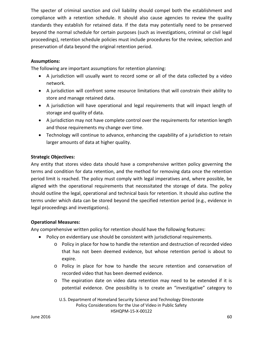The specter of criminal sanction and civil liability should compel both the establishment and compliance with a retention schedule. It should also cause agencies to review the quality standards they establish for retained data. If the data may potentially need to be preserved beyond the normal schedule for certain purposes (such as investigations, criminal or civil legal proceedings), retention schedule policies must include procedures for the review, selection and preservation of data beyond the original retention period.

# **Assumptions:**

The following are important assumptions for retention planning:

- A jurisdiction will usually want to record some or all of the data collected by a video network.
- A jurisdiction will confront some resource limitations that will constrain their ability to store and manage retained data.
- A jurisdiction will have operational and legal requirements that will impact length of storage and quality of data.
- A jurisdiction may not have complete control over the requirements for retention length and those requirements my change over time.
- Technology will continue to advance, enhancing the capability of a jurisdiction to retain larger amounts of data at higher quality.

# **Strategic Objectives:**

Any entity that stores video data should have a comprehensive written policy governing the terms and condition for data retention, and the method for removing data once the retention period limit is reached. The policy must comply with legal imperatives and, where possible, be aligned with the operational requirements that necessitated the storage of data. The policy should outline the legal, operational and technical basis for retention. It should also outline the terms under which data can be stored beyond the specified retention period (e.g., evidence in legal proceedings and investigations).

# **Operational Measures:**

Any comprehensive written policy for retention should have the following features:

- Policy on evidentiary use should be consistent with jurisdictional requirements.
	- o Policy in place for how to handle the retention and destruction of recorded video that has not been deemed evidence, but whose retention period is about to expire.
	- o Policy in place for how to handle the secure retention and conservation of recorded video that has been deemed evidence.
	- o The expiration date on video data retention may need to be extended if it is potential evidence. One possibility is to create an "investigative" category to
		- U.S. Department of Homeland Security Science and Technology Directorate Policy Considerations for the Use of Video in Public Safety HSHQPM-15-X-00122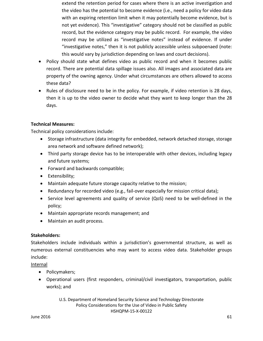- extend the retention period for cases where there is an active investigation and the video has the potential to become evidence (i.e., need a policy for video data with an expiring retention limit when it may potentially become evidence, but is not yet evidence). This "investigative" category should not be classified as public record, but the evidence category may be public record. For example, the video record may be utilized as "investigative notes" instead of evidence. If under "investigative notes," then it is not publicly accessible unless subpoenaed (note: this would vary by jurisdiction depending on laws and court decisions).
- Policy should state what defines video as public record and when it becomes public record. There are potential data spillage issues also. All images and associated data are property of the owning agency. Under what circumstances are others allowed to access these data?
- Rules of disclosure need to be in the policy. For example, if video retention is 28 days, then it is up to the video owner to decide what they want to keep longer than the 28 days.

# **Technical Measures:**

Technical policy considerations include:

- Storage infrastructure (data integrity for embedded, network detached storage, storage area network and software defined network);
- Third party storage device has to be interoperable with other devices, including legacy and future systems;
- Forward and backwards compatible;
- Extensibility;
- Maintain adequate future storage capacity relative to the mission;
- Redundancy for recorded video (e.g., fail-over especially for mission critical data);
- Service level agreements and quality of service (QoS) need to be well-defined in the policy;
- Maintain appropriate records management; and
- Maintain an audit process.

# **Stakeholders:**

Stakeholders include individuals within a jurisdiction's governmental structure, as well as numerous external constituencies who may want to access video data. Stakeholder groups include:

# Internal

- Policymakers;
- Operational users (first responders, criminal/civil investigators, transportation, public works); and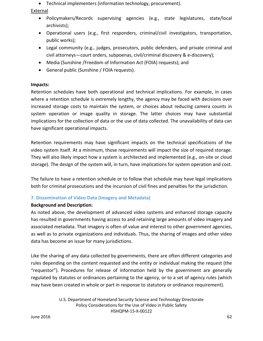• Technical implementers (information technology, procurement).

External

- Policymakers/Records supervising agencies (e.g., state legislatures, state/local archivists);
- Operational users (e.g., first responders, criminal/civil investigators, transportation, public works);
- Legal community (e.g., judges, prosecutors, public defenders, and private criminal and civil attorneys—court orders, subpoenas, civil/criminal discovery & e-discovery);
- Media (Sunshine /Freedom of Information Act (FOIA) requests); and
- General public (Sunshine / FOIA requests).

# **Impacts:**

Retention schedules have both operational and technical implications. For example, in cases where a retention schedule is extremely lengthy, the agency may be faced with decisions over increased storage costs to maintain the system, or choices about reducing camera counts in system operation or image quality in storage. The latter choices may have substantial implications for the collection of data or the use of data collected. The unavailability of data can have significant operational impacts.

Retention requirements may have significant impacts on the technical specifications of the video system itself. At a minimum, those requirements will impact the size of required storage. They will also likely impact how a system is architected and implemented (e.g., on-site or cloud storage). The design of the system will, in turn, have implications for system operation and cost.

The failure to have a retention schedule or to follow that schedule may have legal implications both for criminal prosecutions and the incursion of civil fines and penalties for the jurisdiction.

# **7. Dissemination of Video Data (Imagery and Metadata)**

# **Background and Description:**

As noted above, the development of advanced video systems and enhanced storage capacity has resulted in governments having access to and retaining large amounts of video imagery and associated metadata. That imagery is often of value and interest to other government agencies, as well as to private organizations and individuals. Thus, the sharing of images and other video data has become an issue for many jurisdictions.

Like the sharing of any data collected by governments, there are often different categories and rules depending on the content requested and the entity or individual making the request (the "requestor"). Procedures for release of information held by the government are generally regulated by statutes or ordinances pertaining to the agency, or to a set of agency rules (which may have been created in whole or part in response to statutory or ordinance requirement).

U.S. Department of Homeland Security Science and Technology Directorate Policy Considerations for the Use of Video in Public Safety HSHQPM-15-X-00122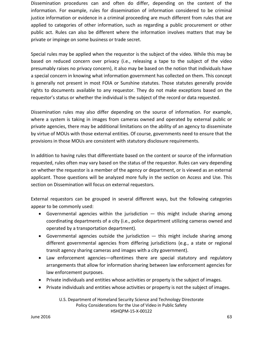Dissemination procedures can and often do differ, depending on the content of the information. For example, rules for dissemination of information considered to be criminal justice information or evidence in a criminal proceeding are much different from rules that are applied to categories of other information, such as regarding a public procurement or other public act. Rules can also be different where the information involves matters that may be private or impinge on some business or trade secret.

Special rules may be applied when the requestor is the subject of the video. While this may be based on reduced concern over privacy (i.e., releasing a tape to the subject of the video presumably raises no privacy concern), it also may be based on the notion that individuals have a special concern in knowing what information government has collected on them. This concept is generally not present in most FOIA or Sunshine statutes. Those statutes generally provide rights to documents available to any requestor. They do not make exceptions based on the requestor's status or whether the individual is the subject of the record or data requested.

Dissemination rules may also differ depending on the source of information. For example, where a system is taking in images from cameras owned and operated by external public or private agencies, there may be additional limitations on the ability of an agency to disseminate by virtue of MOUs with those external entities. Of course, governments need to ensure that the provisions in those MOUs are consistent with statutory disclosure requirements.

In addition to having rules that differentiate based on the content or source of the information requested, rules often may vary based on the status of the requestor. Rules can vary depending on whether the requestor is a member of the agency or department, or is viewed as an external applicant. Those questions will be analyzed more fully in the section on Access and Use. This section on Dissemination will focus on external requestors.

External requestors can be grouped in several different ways, but the following categories appear to be commonly used:

- Governmental agencies within the jurisdiction  $-$  this might include sharing among coordinating departments of a city (i.e., police department utilizing cameras owned and operated by a transportation department).
- Governmental agencies outside the jurisdiction this might include sharing among different governmental agencies from differing jurisdictions (e.g., a state or regional transit agency sharing cameras and images with a city government).
- Law enforcement agencies—oftentimes there are special statutory and regulatory arrangements that allow for information sharing between law enforcement agencies for law enforcement purposes.
- Private individuals and entities whose activities or property is the subject of images.
- Private individuals and entities whose activities or property is not the subject of images.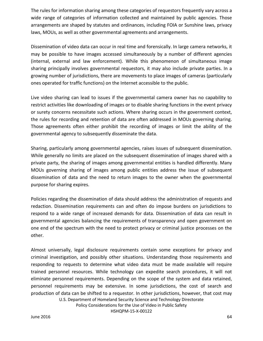The rules for information sharing among these categories of requestors frequently vary across a wide range of categories of information collected and maintained by public agencies. Those arrangements are shaped by statutes and ordinances, including FOIA or Sunshine laws, privacy laws, MOUs, as well as other governmental agreements and arrangements.

Dissemination of video data can occur in real time and forensically. In large camera networks, it may be possible to have images accessed simultaneously by a number of different agencies (internal, external and law enforcement). While this phenomenon of simultaneous image sharing principally involves governmental requestors, it may also include private parties. In a growing number of jurisdictions, there are movements to place images of cameras (particularly ones operated for traffic functions) on the Internet accessible to the public.

Live video sharing can lead to issues if the governmental camera owner has no capability to restrict activities like downloading of images or to disable sharing functions in the event privacy or surety concerns necessitate such actions. Where sharing occurs in the government context, the rules for recording and retention of data are often addressed in MOUs governing sharing. Those agreements often either prohibit the recording of images or limit the ability of the governmental agency to subsequently disseminate the data.

Sharing, particularly among governmental agencies, raises issues of subsequent dissemination. While generally no limits are placed on the subsequent dissemination of images shared with a private party, the sharing of images among governmental entities is handled differently. Many MOUs governing sharing of images among public entities address the issue of subsequent dissemination of data and the need to return images to the owner when the governmental purpose for sharing expires.

Policies regarding the dissemination of data should address the administration of requests and redaction. Dissemination requirements can and often do impose burdens on jurisdictions to respond to a wide range of increased demands for data. Dissemination of data can result in governmental agencies balancing the requirements of transparency and open government on one end of the spectrum with the need to protect privacy or criminal justice processes on the other.

U.S. Department of Homeland Security Science and Technology Directorate Almost universally, legal disclosure requirements contain some exceptions for privacy and criminal investigation, and possibly other situations. Understanding those requirements and responding to requests to determine what video data must be made available will require trained personnel resources. While technology can expedite search procedures, it will not eliminate personnel requirements. Depending on the scope of the system and data retained, personnel requirements may be extensive. In some jurisdictions, the cost of search and production of data can be shifted to a requestor. In other jurisdictions, however, that cost may

Policy Considerations for the Use of Video in Public Safety HSHQPM-15-X-00122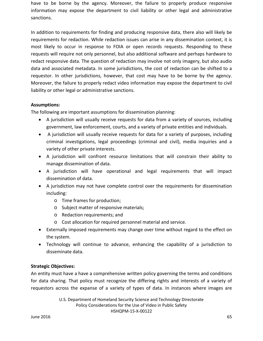have to be borne by the agency. Moreover, the failure to properly produce responsive information may expose the department to civil liability or other legal and administrative sanctions.

In addition to requirements for finding and producing responsive data, there also will likely be requirements for redaction. While redaction issues can arise in any dissemination context, it is most likely to occur in response to FOIA or open records requests. Responding to these requests will require not only personnel, but also additional software and perhaps hardware to redact responsive data. The question of redaction may involve not only imagery, but also audio data and associated metadata. In some jurisdictions, the cost of redaction can be shifted to a requestor. In other jurisdictions, however, that cost may have to be borne by the agency. Moreover, the failure to properly redact video information may expose the department to civil liability or other legal or administrative sanctions.

# **Assumptions:**

The following are important assumptions for dissemination planning:

- A jurisdiction will usually receive requests for data from a variety of sources, including government, law enforcement, courts, and a variety of private entities and individuals.
- A jurisdiction will usually receive requests for data for a variety of purposes, including criminal investigations, legal proceedings (criminal and civil), media inquiries and a variety of other private interests.
- A jurisdiction will confront resource limitations that will constrain their ability to manage dissemination of data.
- A jurisdiction will have operational and legal requirements that will impact dissemination of data.
- A jurisdiction may not have complete control over the requirements for dissemination including:
	- o Time frames for production;
	- o Subject matter of responsive materials;
	- o Redaction requirements; and
	- o Cost allocation for required personnel material and service.
- Externally imposed requirements may change over time without regard to the effect on the system.
- Technology will continue to advance, enhancing the capability of a jurisdiction to disseminate data.

# **Strategic Objectives:**

An entity must have a have a comprehensive written policy governing the terms and conditions for data sharing. That policy must recognize the differing rights and interests of a variety of requestors across the expanse of a variety of types of data. In instances where images are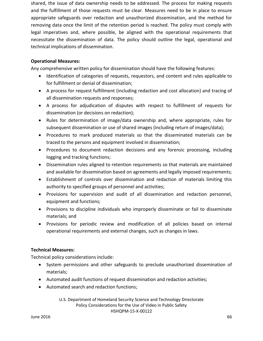shared, the issue of data ownership needs to be addressed. The process for making requests and the fulfillment of those requests must be clear. Measures need to be in place to ensure appropriate safeguards over redaction and unauthorized dissemination, and the method for removing data once the limit of the retention period is reached. The policy must comply with legal imperatives and, where possible, be aligned with the operational requirements that necessitate the dissemination of data. The policy should outline the legal, operational and technical implications of dissemination.

# **Operational Measures:**

Any comprehensive written policy for dissemination should have the following features:

- Identification of categories of requests, requestors, and content and rules applicable to for fulfillment or denial of dissemination;
- A process for request fulfillment (including redaction and cost allocation) and tracing of all dissemination requests and responses;
- A process for adjudication of disputes with respect to fulfillment of requests for dissemination (or decisions on redaction);
- Rules for determination of image/data ownership and, where appropriate, rules for subsequent dissemination or use of shared images (including return of images/data);
- Procedures to mark produced materials so that the disseminated materials can be traced to the persons and equipment involved in dissemination;
- Procedures to document redaction decisions and any forensic processing, including logging and tracking functions;
- Dissemination rules aligned to retention requirements so that materials are maintained and available for dissemination based on agreements and legally imposed requirements;
- Establishment of controls over dissemination and redaction of materials limiting this authority to specified groups of personnel and activities;
- Provisions for supervision and audit of all dissemination and redaction personnel, equipment and functions;
- Provisions to discipline individuals who improperly disseminate or fail to disseminate materials; and
- Provisions for periodic review and modification of all policies based on internal operational requirements and external changes, such as changes in laws.

# **Technical Measures:**

Technical policy considerations include:

- System permissions and other safeguards to preclude unauthorized dissemination of materials;
- Automated audit functions of request dissemination and redaction activities;
- Automated search and redaction functions;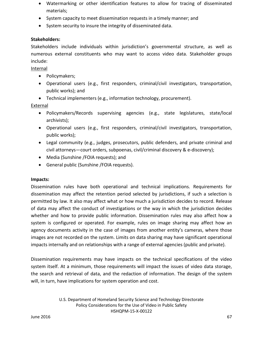- Watermarking or other identification features to allow for tracing of disseminated materials;
- System capacity to meet dissemination requests in a timely manner; and
- System security to insure the integrity of disseminated data.

### **Stakeholders:**

Stakeholders include individuals within jurisdiction's governmental structure, as well as numerous external constituents who may want to access video data. Stakeholder groups include:

Internal

- Policymakers;
- Operational users (e.g., first responders, criminal/civil investigators, transportation, public works); and
- Technical implementers (e.g., information technology, procurement).

**External** 

- Policymakers/Records supervising agencies (e.g., state legislatures, state/local archivists);
- Operational users (e.g., first responders, criminal/civil investigators, transportation, public works);
- Legal community (e.g., judges, prosecutors, public defenders, and private criminal and civil attorneys—court orders, subpoenas, civil/criminal discovery & e-discovery);
- Media (Sunshine /FOIA requests); and
- General public (Sunshine /FOIA requests).

#### **Impacts:**

Dissemination rules have both operational and technical implications. Requirements for dissemination may affect the retention period selected by jurisdictions, if such a selection is permitted by law. It also may affect what or how much a jurisdiction decides to record. Release of data may affect the conduct of investigations or the way in which the jurisdiction decides whether and how to provide public information. Dissemination rules may also affect how a system is configured or operated. For example, rules on image sharing may affect how an agency documents activity in the case of images from another entity's cameras, where those images are not recorded on the system. Limits on data sharing may have significant operational impacts internally and on relationships with a range of external agencies (public and private).

Dissemination requirements may have impacts on the technical specifications of the video system itself. At a minimum, those requirements will impact the issues of video data storage, the search and retrieval of data, and the redaction of information. The design of the system will, in turn, have implications for system operation and cost.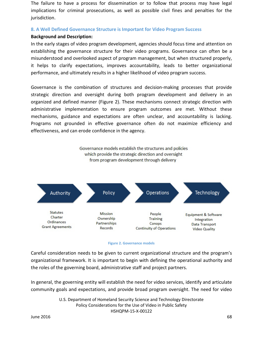The failure to have a process for dissemination or to follow that process may have legal implications for criminal prosecutions, as well as possible civil fines and penalties for the jurisdiction.

### **8. A Well Defined Governance Structure is Important for Video Program Success**

#### **Background and Description:**

In the early stages of video program development, agencies should focus time and attention on establishing the governance structure for their video programs. Governance can often be a misunderstood and overlooked aspect of program management, but when structured properly, it helps to clarify expectations, improves accountability, leads to better organizational performance, and ultimately results in a higher likelihood of video program success.

Governance is the combination of structures and decision-making processes that provide strategic direction and oversight during both program development and delivery in an organized and defined manner (Figure 2). These mechanisms connect strategic direction with administrative implementation to ensure program outcomes are met. Without these mechanisms, guidance and expectations are often unclear, and accountability is lacking. Programs not grounded in effective governance often do not maximize efficiency and effectiveness, and can erode confidence in the agency.



#### **Figure 2. Governance models**

Careful consideration needs to be given to current organizational structure and the program's organizational framework. It is important to begin with defining the operational authority and the roles of the governing board, administrative staff and project partners.

In general, the governing entity will establish the need for video services, identify and articulate community goals and expectations, and provide broad program oversight. The need for video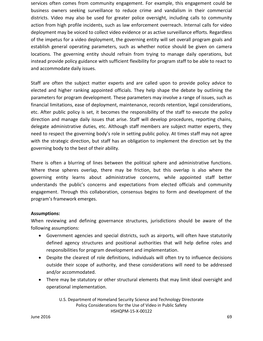services often comes from community engagement. For example, this engagement could be business owners seeking surveillance to reduce crime and vandalism in their commercial districts. Video may also be used for greater police oversight, including calls to community action from high profile incidents, such as law enforcement overreach. Internal calls for video deployment may be voiced to collect video evidence or as active surveillance efforts. Regardless of the impetus for a video deployment, the governing entity will set overall program goals and establish general operating parameters, such as whether notice should be given on camera locations. The governing entity should refrain from trying to manage daily operations, but instead provide policy guidance with sufficient flexibility for program staff to be able to react to and accommodate daily issues.

Staff are often the subject matter experts and are called upon to provide policy advice to elected and higher ranking appointed officials. They help shape the debate by outlining the parameters for program development. These parameters may involve a range of issues, such as financial limitations, ease of deployment, maintenance, records retention, legal considerations, etc. After public policy is set, it becomes the responsibility of the staff to execute the policy direction and manage daily issues that arise. Staff will develop procedures, reporting chains, delegate administrative duties, etc. Although staff members are subject matter experts, they need to respect the governing body's role in setting public policy. At times staff may not agree with the strategic direction, but staff has an obligation to implement the direction set by the governing body to the best of their ability.

There is often a blurring of lines between the political sphere and administrative functions. Where these spheres overlap, there may be friction, but this overlap is also where the governing entity learns about administrative concerns, while appointed staff better understands the public's concerns and expectations from elected officials and community engagement. Through this collaboration, consensus begins to form and development of the program's framework emerges.

# **Assumptions:**

When reviewing and defining governance structures, jurisdictions should be aware of the following assumptions:

- Government agencies and special districts, such as airports, will often have statutorily defined agency structures and positional authorities that will help define roles and responsibilities for program development and implementation.
- Despite the clearest of role definitions, individuals will often try to influence decisions outside their scope of authority, and these considerations will need to be addressed and/or accommodated.
- There may be statutory or other structural elements that may limit ideal oversight and operational implementation.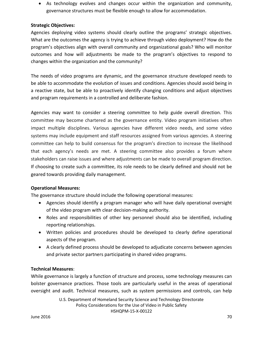• As technology evolves and changes occur within the organization and community, governance structures must be flexible enough to allow for accommodation.

### **Strategic Objectives:**

Agencies deploying video systems should clearly outline the programs' strategic objectives. What are the outcomes the agency is trying to achieve through video deployment? How do the program's objectives align with overall community and organizational goals? Who will monitor outcomes and how will adjustments be made to the program's objectives to respond to changes within the organization and the community?

The needs of video programs are dynamic, and the governance structure developed needs to be able to accommodate the evolution of issues and conditions. Agencies should avoid being in a reactive state, but be able to proactively identify changing conditions and adjust objectives and program requirements in a controlled and deliberate fashion.

Agencies may want to consider a steering committee to help guide overall direction. This committee may become chartered as the governance entity. Video program initiatives often impact multiple disciplines. Various agencies have different video needs, and some video systems may include equipment and staff resources assigned from various agencies. A steering committee can help to build consensus for the program's direction to increase the likelihood that each agency's needs are met. A steering committee also provides a forum where stakeholders can raise issues and where adjustments can be made to overall program direction. If choosing to create such a committee, its role needs to be clearly defined and should not be geared towards providing daily management.

# **Operational Measures:**

The governance structure should include the following operational measures:

- Agencies should identify a program manager who will have daily operational oversight of the video program with clear decision-making authority.
- Roles and responsibilities of other key personnel should also be identified, including reporting relationships.
- Written policies and procedures should be developed to clearly define operational aspects of the program.
- A clearly defined process should be developed to adjudicate concerns between agencies and private sector partners participating in shared video programs.

# **Technical Measures**:

While governance is largely a function of structure and process, some technology measures can bolster governance practices. Those tools are particularly useful in the areas of operational oversight and audit. Technical measures, such as system permissions and controls, can help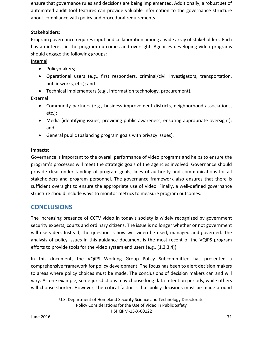ensure that governance rules and decisions are being implemented. Additionally, a robust set of automated audit tool features can provide valuable information to the governance structure about compliance with policy and procedural requirements.

# **Stakeholders:**

Program governance requires input and collaboration among a wide array of stakeholders. Each has an interest in the program outcomes and oversight. Agencies developing video programs should engage the following groups:

**Internal** 

- Policymakers;
- Operational users (e.g., first responders, criminal/civil investigators, transportation, public works, etc.); and
- Technical implementers (e.g., information technology, procurement).

External

- Community partners (e.g., business improvement districts, neighborhood associations, etc.);
- Media (identifying issues, providing public awareness, ensuring appropriate oversight); and
- General public (balancing program goals with privacy issues).

### **Impacts:**

Governance is important to the overall performance of video programs and helps to ensure the program's processes will meet the strategic goals of the agencies involved. Governance should provide clear understanding of program goals, lines of authority and communications for all stakeholders and program personnel. The governance framework also ensures that there is sufficient oversight to ensure the appropriate use of video. Finally, a well-defined governance structure should include ways to monitor metrics to measure program outcomes.

# **CONCLUSIONS**

The increasing presence of CCTV video in today's society is widely recognized by government security experts, courts and ordinary citizens. The issue is no longer whether or not government will use video. Instead, the question is how will video be used, managed and governed. The analysis of policy issues in this guidance document is the most recent of the VQiPS program efforts to provide tools for the video system end users (e.g., [1,2,3,4]).

In this document, the VQiPS Working Group Policy Subcommittee has presented a comprehensive framework for policy development. The focus has been to alert decision makers to areas where policy choices must be made. The conclusions of decision makers can and will vary. As one example, some jurisdictions may choose long data retention periods, while others will choose shorter. However, the critical factor is that policy decisions must be made around

U.S. Department of Homeland Security Science and Technology Directorate Policy Considerations for the Use of Video in Public Safety HSHQPM-15-X-00122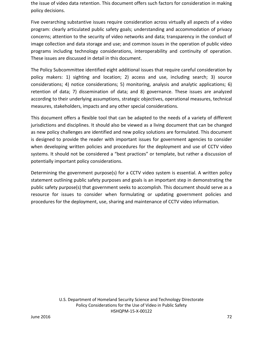the issue of video data retention. This document offers such factors for consideration in making policy decisions.

Five overarching substantive issues require consideration across virtually all aspects of a video program: clearly articulated public safety goals; understanding and accommodation of privacy concerns; attention to the security of video networks and data; transparency in the conduct of image collection and data storage and use; and common issues in the operation of public video programs including technology considerations, interoperability and continuity of operation. These issues are discussed in detail in this document.

The Policy Subcommittee identified eight additional issues that require careful consideration by policy makers: 1) sighting and location; 2) access and use, including search; 3) source considerations; 4) notice considerations; 5) monitoring, analysis and analytic applications; 6) retention of data; 7) dissemination of data; and 8) governance. These issues are analyzed according to their underlying assumptions, strategic objectives, operational measures, technical measures, stakeholders, impacts and any other special considerations.

This document offers a flexible tool that can be adapted to the needs of a variety of different jurisdictions and disciplines. It should also be viewed as a living document that can be changed as new policy challenges are identified and new policy solutions are formulated. This document is designed to provide the reader with important issues for government agencies to consider when developing written policies and procedures for the deployment and use of CCTV video systems. It should not be considered a "best practices" or template, but rather a discussion of potentially important policy considerations.

Determining the government purpose(s) for a CCTV video system is essential. A written policy statement outlining public safety purposes and goals is an important step in demonstrating the public safety purpose(s) that government seeks to accomplish. This document should serve as a resource for issues to consider when formulating or updating government policies and procedures for the deployment, use, sharing and maintenance of CCTV video information.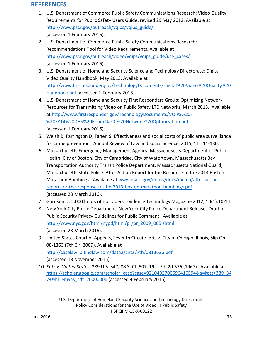## **REFERENCES**

- 1. U.S. Department of Commerce Public Safety Communications Research: Video Quality Requirements for Public Safety Users Guide, revised 29 May 2012. Available at [http://www.pscr.gov/outreach/vqips/vqips\\_guide/](http://www.pscr.gov/outreach/vqips/vqips_guide/) (accessed 1 February 2016).
- 2. U.S. Department of Commerce Public Safety Communications Research: Recommendations Tool for Video Requirements. Available at [http://www.pscr.gov/outreach/video/vqips/vqips\\_guide/use\\_cases/](http://www.pscr.gov/outreach/video/vqips/vqips_guide/use_cases/) (accessed 1 February 2016).
- 3. U.S. Department of Homeland Security Science and Technology Directorate: Digital Video Quality Handbook, May 2013. Available at [http://www.firstresponder.gov/TechnologyDocuments/Digital%20Video%20Quality%20](http://www.firstresponder.gov/TechnologyDocuments/Digital%20Video%20Quality%20Handbook.pdf) [Handbook.pdf](http://www.firstresponder.gov/TechnologyDocuments/Digital%20Video%20Quality%20Handbook.pdf) (accessed 1 February 2016).
- 4. U.S. Department of Homeland Security First Responders Group: Optimizing Network Resources for Transmitting Video on Public Safety LTE Networks, March 2015. Available at [http://www.firstresponder.gov/TechnologyDocuments/VQiPS%20-](http://www.firstresponder.gov/TechnologyDocuments/VQiPS%20-%20FY14%20DHS%20Report%20-%20Network%20Optimization.pdf) [%20FY14%20DHS%20Report%20-%20Network%20Optimization.pdf](http://www.firstresponder.gov/TechnologyDocuments/VQiPS%20-%20FY14%20DHS%20Report%20-%20Network%20Optimization.pdf) (accessed 1 February 2016).
- 5. Welsh B, Farrington D, Taheri S: Effectiveness and social costs of public area surveillance for crime prevention. Annual Review of Law and Social Science, 2015, 11:111-130.
- 6. Massachusetts Emergency Management Agency, Massachusetts Department of Public Health, City of Boston, City of Cambridge, City of Watertown, Massachusetts Bay Transportation Authority Transit Police Department, Massachusetts National Guard, Massachusetts State Police: After Action Report for the Response to the 2013 Boston Marathon Bombings. Available at [www.mass.gov/eopss/docs/mema/after-action](http://www.mass.gov/eopss/docs/mema/after-action-report-for-the-response-to-the-2013-boston-marathon-bombings.pdf)[report-for-the-response-to-the-2013-boston-marathon-bombings.pdf](http://www.mass.gov/eopss/docs/mema/after-action-report-for-the-response-to-the-2013-boston-marathon-bombings.pdf) (accessed 23 March 2016).
- 7. Garrison D: 5,000 hours of riot video. Evidence Technology Magazine 2012, 10(1):10-14.
- 8. New York City Police Department: New York City Police Department Releases Draft of Public Security Privacy Guidelines for Public Comment. Available at [http://www.nyc.gov/html/nypd/html/pr/pr\\_2009\\_005.shtml](http://www.nyc.gov/html/nypd/html/pr/pr_2009_005.shtml) (accessed 23 March 2016).
- 9. United States Court of Appeals, Seventh Circuit: Idris v. City of Chicago Illinois, Slip Op. 08-1363 (7th Cir. 2009). Available at <http://caselaw.lp.findlaw.com/data2/circs/7th/081363p.pdf> (accessed 18 November 2015).
- 10. *Katz v. United States*, 389 U.S. 347, 88 S. Ct. 507, 19 L. Ed. 2d 576 (1967). Available at [https://scholar.google.com/scholar\\_case?case=9210492700696416594&q=katz+389+34](https://scholar.google.com/scholar_case?case=9210492700696416594&q=katz+389+347+&hl=en&as_sdt=20000006) [7+&hl=en&as\\_sdt=20000006](https://scholar.google.com/scholar_case?case=9210492700696416594&q=katz+389+347+&hl=en&as_sdt=20000006) (accessed 4 February 2016).

U.S. Department of Homeland Security Science and Technology Directorate Policy Considerations for the Use of Video in Public Safety HSHQPM-15-X-00122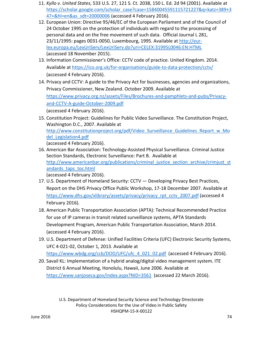- 11. *Kyllo v. United States*, 533 U.S. 27, 121 S. Ct. 2038, 150 L. Ed. 2d 94 (2001). Available at [https://scholar.google.com/scholar\\_case?case=15840045591115721227&q=katz+389+3](https://scholar.google.com/scholar_case?case=15840045591115721227&q=katz+389+347+&hl=en&as_sdt=20000006) [47+&hl=en&as\\_sdt=20000006](https://scholar.google.com/scholar_case?case=15840045591115721227&q=katz+389+347+&hl=en&as_sdt=20000006) (accessed 4 February 2016).
- 12. European Union: Directive 95/46/EC of the European Parliament and of the Council of 24 October 1995 on the protection of individuals with regard to the processing of personal data and on the free movement of such data. Official Journal L 281, 23/11/1995: pages 0031-0050, Luxembourg, 1995. Available at [http://eur](http://eur-lex.europa.eu/LexUriServ/LexUriServ.do?uri=CELEX:31995L0046:EN:HTML)[lex.europa.eu/LexUriServ/LexUriServ.do?uri=CELEX:31995L0046:EN:HTML](http://eur-lex.europa.eu/LexUriServ/LexUriServ.do?uri=CELEX:31995L0046:EN:HTML) (accessed 18 November 2015).
- 13. Information Commissioner's Office: CCTV code of practice. United Kingdom. 2014. Available at<https://ico.org.uk/for-organisations/guide-to-data-protection/cctv/> (accessed 4 February 2016).
- 14. Privacy and CCTV: A guide to the Privacy Act for businesses, agencies and organizations, Privacy Commissioner, New Zealand. October 2009. Available at [https://www.privacy.org.nz/assets/Files/Brochures-and-pamphlets-and-pubs/Privacy](https://www.privacy.org.nz/assets/Files/Brochures-and-pamphlets-and-pubs/Privacy-and-CCTV-A-guide-October-2009.pdf)[and-CCTV-A-guide-October-2009.pdf](https://www.privacy.org.nz/assets/Files/Brochures-and-pamphlets-and-pubs/Privacy-and-CCTV-A-guide-October-2009.pdf) (accessed 4 February 2016).
- 15. Constitution Project: Guidelines for Public Video Surveillance. The Constitution Project, Washington D.C., 2007. Available at http://www.constitutionproject.org/pdf/Video Surveillance Guidelines Report w Mo del Legislation4.pdf (accessed 4 February 2016).
- 16. American Bar Association: Technology-Assisted Physical Surveillance. Criminal Justice Section Standards, Electronic Surveillance: Part B. Available at http://www.americanbar.org/publications/criminal justice section archive/crimjust st [andards\\_taps\\_toc.html](http://www.americanbar.org/publications/criminal_justice_section_archive/crimjust_standards_taps_toc.html) (accessed 4 February 2016).
- 17. U.S. Department of Homeland Security: CCTV Developing Privacy Best Practices, Report on the DHS Privacy Office Public Workshop, 17-18 December 2007. Available at [https://www.dhs.gov/xlibrary/assets/privacy/privacy\\_rpt\\_cctv\\_2007.pdf](https://www.dhs.gov/xlibrary/assets/privacy/privacy_rpt_cctv_2007.pdf) (accessed 4 February 2016).
- 18. American Public Transportation Association (APTA): Technical Recommended Practice for use of IP cameras in transit related surveillance systems, APTA Standards Development Program, American Public Transportation Association, March 2014. (accessed 4 February 2016).
- 19. U.S. Department of Defense: Unified Facilities Criteria (UFC) Electronic Security Systems, UFC 4-021-02, October 1, 2013. Available at [https://www.wbdg.org/ccb/DOD/UFC/ufc\\_4\\_021\\_02.pdf](https://www.wbdg.org/ccb/DOD/UFC/ufc_4_021_02.pdf) (accessed 4 February 2016).
- 20. Savail KL: Implementation of a hybrid analog/digital video management system. ITE District 6 Annual Meeting, Honolulu, Hawaii, June 2006. Available at <https://www.sanjoseca.gov/index.aspx?NID=3561>(accessed 22 March 2016).

U.S. Department of Homeland Security Science and Technology Directorate Policy Considerations for the Use of Video in Public Safety HSHQPM-15-X-00122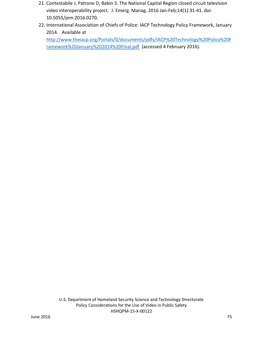- 21. Contestabile J, Patrone D, Babin S: The National Capital Region closed circuit television video interoperability project. J. Emerg. Manag. 2016 Jan-Feb;14(1):31-41. doi: 10.5055/jem.2016.0270.
- 22. International Association of Chiefs of Police: IACP Technology Policy Framework, January 2014. Available at

[http://www.theiacp.org/Portals/0/documents/pdfs/IACP%20Technology%20Policy%20F](http://www.theiacp.org/Portals/0/documents/pdfs/IACP%20Technology%20Policy%20Framework%20January%202014%20Final.pdf) [ramework%20January%202014%20Final.pdf](http://www.theiacp.org/Portals/0/documents/pdfs/IACP%20Technology%20Policy%20Framework%20January%202014%20Final.pdf) (accessed 4 February 2016).